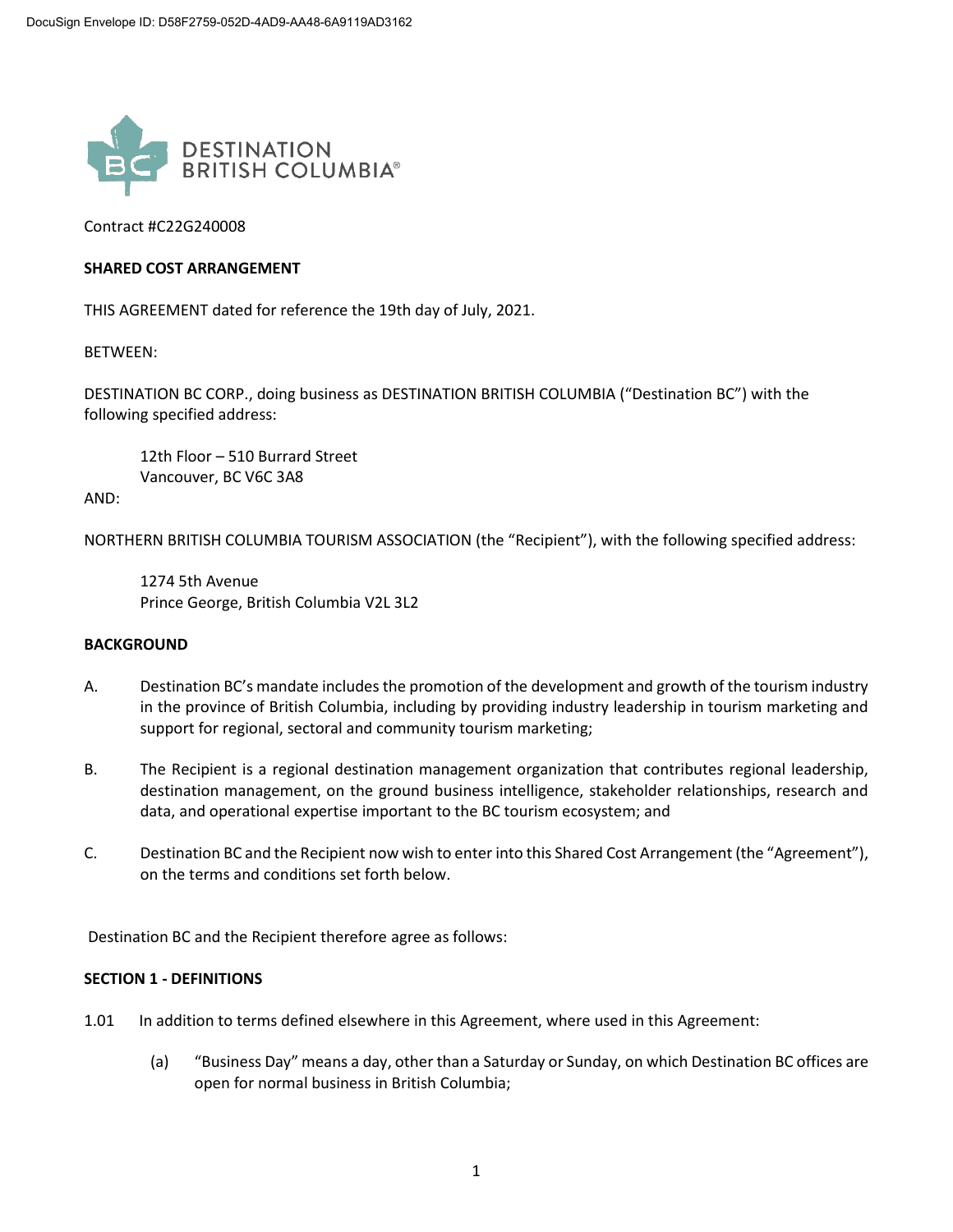

Contract #C22G240008

### **SHARED COST ARRANGEMENT**

THIS AGREEMENT dated for reference the 19th day of July, 2021.

BETWEEN:

DESTINATION BC CORP., doing business as DESTINATION BRITISH COLUMBIA ("Destination BC") with the following specified address:

12th Floor – 510 Burrard Street Vancouver, BC V6C 3A8

AND:

NORTHERN BRITISH COLUMBIA TOURISM ASSOCIATION (the "Recipient"), with the following specified address:

1274 5th Avenue Prince George, British Columbia V2L 3L2

### **BACKGROUND**

- A. Destination BC's mandate includes the promotion of the development and growth of the tourism industry in the province of British Columbia, including by providing industry leadership in tourism marketing and support for regional, sectoral and community tourism marketing;
- B. The Recipient is a regional destination management organization that contributes regional leadership, destination management, on the ground business intelligence, stakeholder relationships, research and data, and operational expertise important to the BC tourism ecosystem; and
- C. Destination BC and the Recipient now wish to enter into this Shared Cost Arrangement (the "Agreement"), on the terms and conditions set forth below.

Destination BC and the Recipient therefore agree as follows:

#### **SECTION 1 - DEFINITIONS**

- 1.01 In addition to terms defined elsewhere in this Agreement, where used in this Agreement:
	- (a) "Business Day" means a day, other than a Saturday or Sunday, on which Destination BC offices are open for normal business in British Columbia;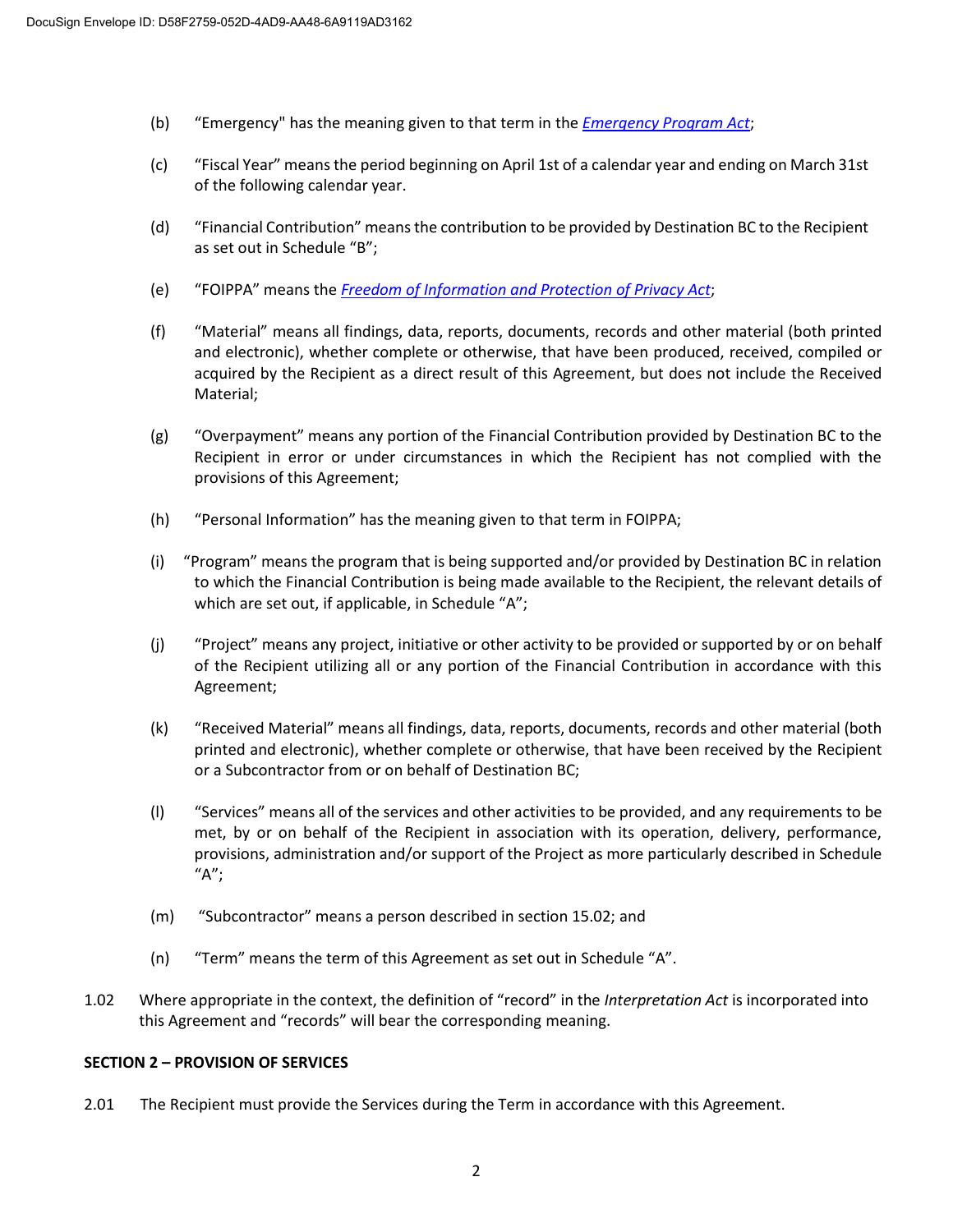- (b) "Emergency" has the meaning given to that term in the *[Emergency Program Act](https://www.bclaws.gov.bc.ca/civix/document/id/complete/statreg/00_96111_01)*;
- (c) "Fiscal Year" means the period beginning on April 1st of a calendar year and ending on March 31st of the following calendar year.
- (d) "Financial Contribution" meansthe contribution to be provided by Destination BC to the Recipient as set out in Schedule "B";
- (e) "FOIPPA" means the *[Freedom of Information and Protection of Privacy Act](https://www.bclaws.gov.bc.ca/civix/document/id/complete/statreg/96165_00)*;
- (f) "Material" means all findings, data, reports, documents, records and other material (both printed and electronic), whether complete or otherwise, that have been produced, received, compiled or acquired by the Recipient as a direct result of this Agreement, but does not include the Received Material;
- (g) "Overpayment" means any portion of the Financial Contribution provided by Destination BC to the Recipient in error or under circumstances in which the Recipient has not complied with the provisions of this Agreement;
- (h) "Personal Information" has the meaning given to that term in FOIPPA;
- (i) "Program" means the program that is being supported and/or provided by Destination BC in relation to which the Financial Contribution is being made available to the Recipient, the relevant details of which are set out, if applicable, in Schedule "A";
- (j) "Project" means any project, initiative or other activity to be provided or supported by or on behalf of the Recipient utilizing all or any portion of the Financial Contribution in accordance with this Agreement;
- (k) "Received Material" means all findings, data, reports, documents, records and other material (both printed and electronic), whether complete or otherwise, that have been received by the Recipient or a Subcontractor from or on behalf of Destination BC;
- (l) "Services" means all of the services and other activities to be provided, and any requirements to be met, by or on behalf of the Recipient in association with its operation, delivery, performance, provisions, administration and/or support of the Project as more particularly described in Schedule "A";
- (m) "Subcontractor" means a person described in section 15.02; and
- (n) "Term" means the term of this Agreement as set out in Schedule "A".
- 1.02 Where appropriate in the context, the definition of "record" in the *Interpretation Act* is incorporated into this Agreement and "records" will bear the corresponding meaning.

#### **SECTION 2 – PROVISION OF SERVICES**

2.01 The Recipient must provide the Services during the Term in accordance with this Agreement.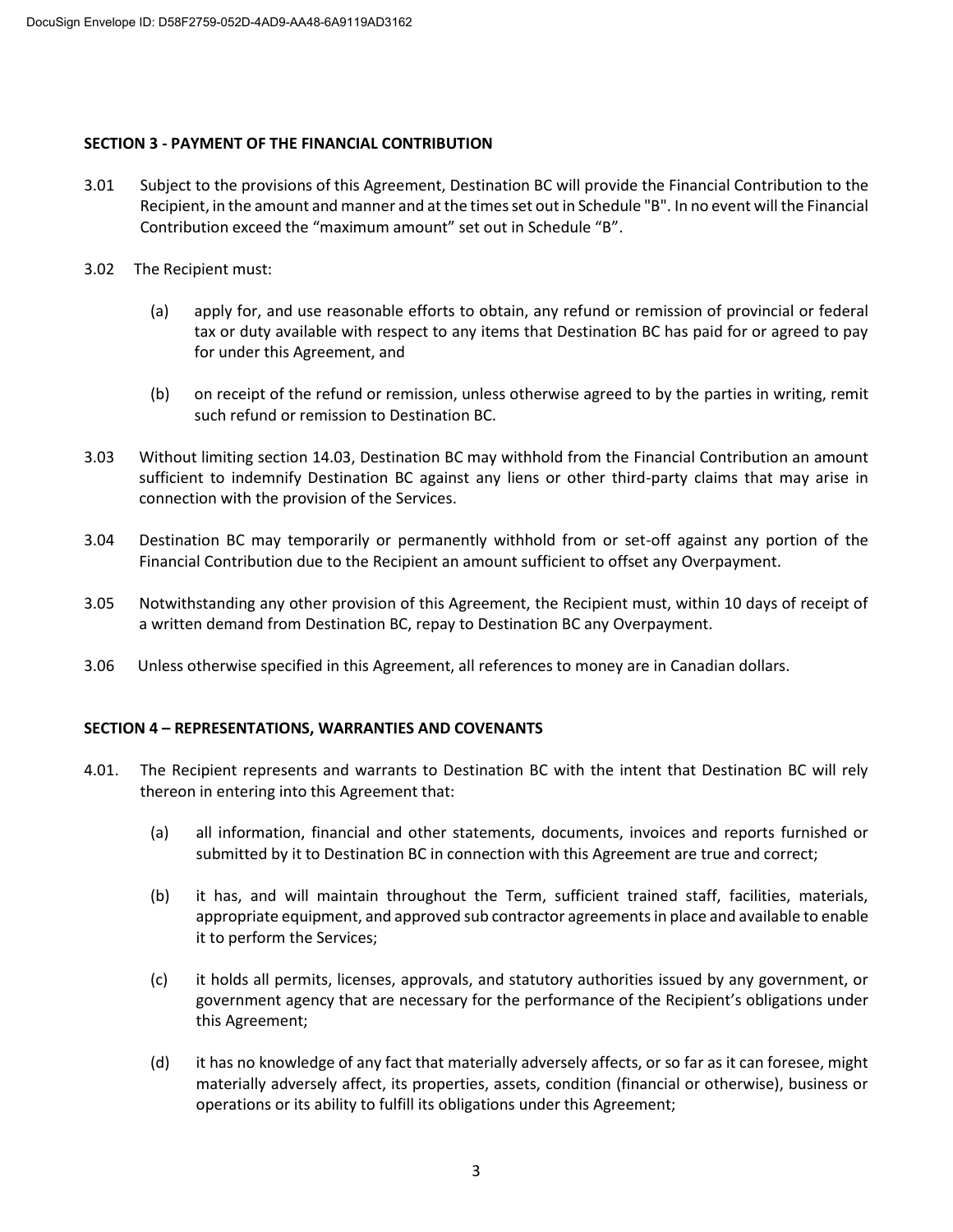### **SECTION 3 - PAYMENT OF THE FINANCIAL CONTRIBUTION**

- 3.01 Subject to the provisions of this Agreement, Destination BC will provide the Financial Contribution to the Recipient, in the amount and manner and at the times set out in Schedule "B". In no event will the Financial Contribution exceed the "maximum amount" set out in Schedule "B".
- 3.02 The Recipient must:
	- (a) apply for, and use reasonable efforts to obtain, any refund or remission of provincial or federal tax or duty available with respect to any items that Destination BC has paid for or agreed to pay for under this Agreement, and
	- (b) on receipt of the refund or remission, unless otherwise agreed to by the parties in writing, remit such refund or remission to Destination BC.
- 3.03 Without limiting section 14.03, Destination BC may withhold from the Financial Contribution an amount sufficient to indemnify Destination BC against any liens or other third-party claims that may arise in connection with the provision of the Services.
- 3.04 Destination BC may temporarily or permanently withhold from or set-off against any portion of the Financial Contribution due to the Recipient an amount sufficient to offset any Overpayment.
- 3.05 Notwithstanding any other provision of this Agreement, the Recipient must, within 10 days of receipt of a written demand from Destination BC, repay to Destination BC any Overpayment.
- 3.06 Unless otherwise specified in this Agreement, all references to money are in Canadian dollars.

## **SECTION 4 – REPRESENTATIONS, WARRANTIES AND COVENANTS**

- 4.01. The Recipient represents and warrants to Destination BC with the intent that Destination BC will rely thereon in entering into this Agreement that:
	- (a) all information, financial and other statements, documents, invoices and reports furnished or submitted by it to Destination BC in connection with this Agreement are true and correct;
	- (b) it has, and will maintain throughout the Term, sufficient trained staff, facilities, materials, appropriate equipment, and approved sub contractor agreements in place and available to enable it to perform the Services;
	- (c) it holds all permits, licenses, approvals, and statutory authorities issued by any government, or government agency that are necessary for the performance of the Recipient's obligations under this Agreement;
	- (d) it has no knowledge of any fact that materially adversely affects, or so far as it can foresee, might materially adversely affect, its properties, assets, condition (financial or otherwise), business or operations or its ability to fulfill its obligations under this Agreement;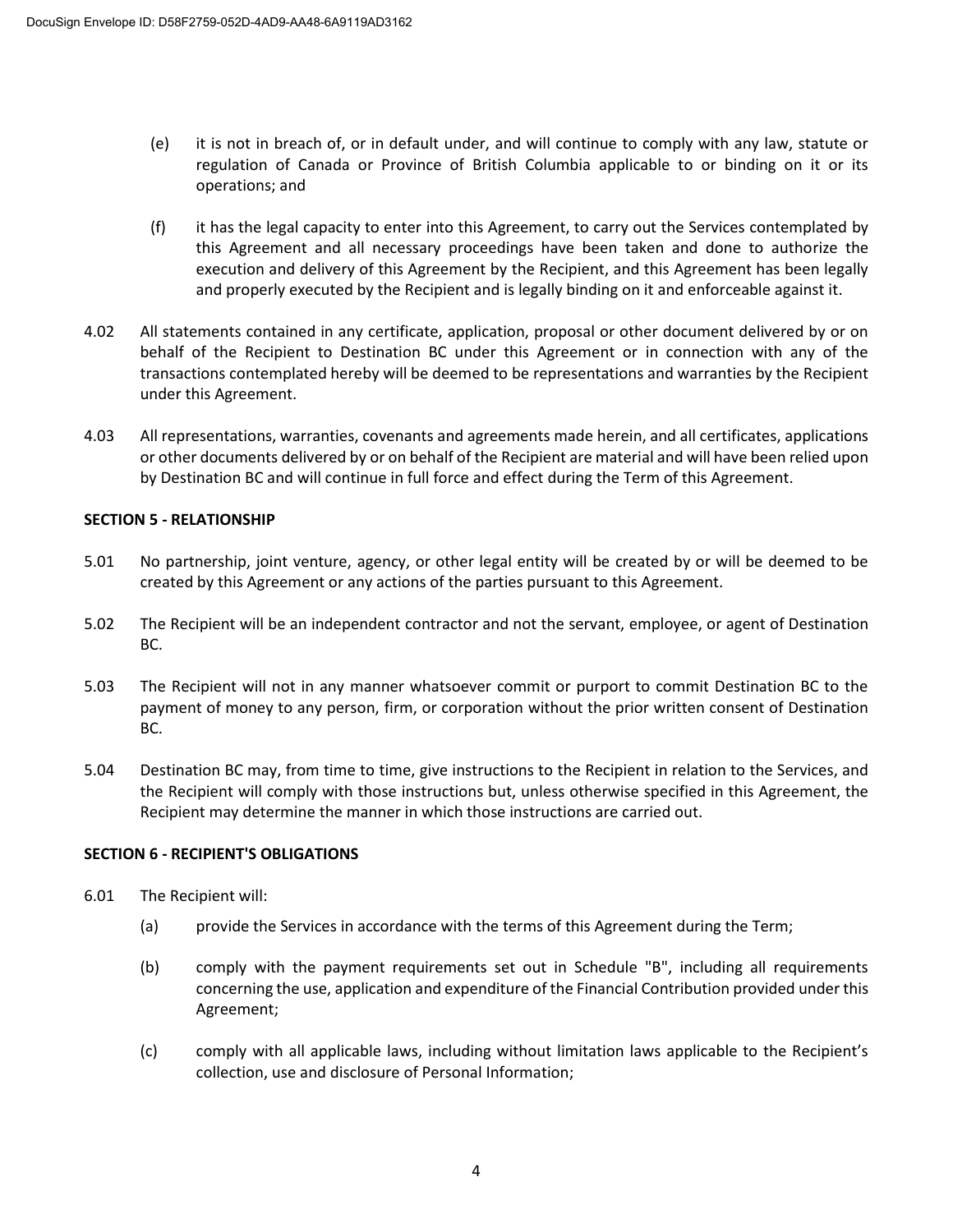- (e) it is not in breach of, or in default under, and will continue to comply with any law, statute or regulation of Canada or Province of British Columbia applicable to or binding on it or its operations; and
- (f) it has the legal capacity to enter into this Agreement, to carry out the Services contemplated by this Agreement and all necessary proceedings have been taken and done to authorize the execution and delivery of this Agreement by the Recipient, and this Agreement has been legally and properly executed by the Recipient and is legally binding on it and enforceable against it.
- 4.02 All statements contained in any certificate, application, proposal or other document delivered by or on behalf of the Recipient to Destination BC under this Agreement or in connection with any of the transactions contemplated hereby will be deemed to be representations and warranties by the Recipient under this Agreement.
- 4.03 All representations, warranties, covenants and agreements made herein, and all certificates, applications or other documents delivered by or on behalf of the Recipient are material and will have been relied upon by Destination BC and will continue in full force and effect during the Term of this Agreement.

## **SECTION 5 - RELATIONSHIP**

- 5.01 No partnership, joint venture, agency, or other legal entity will be created by or will be deemed to be created by this Agreement or any actions of the parties pursuant to this Agreement.
- 5.02 The Recipient will be an independent contractor and not the servant, employee, or agent of Destination BC.
- 5.03 The Recipient will not in any manner whatsoever commit or purport to commit Destination BC to the payment of money to any person, firm, or corporation without the prior written consent of Destination BC.
- 5.04 Destination BC may, from time to time, give instructions to the Recipient in relation to the Services, and the Recipient will comply with those instructions but, unless otherwise specified in this Agreement, the Recipient may determine the manner in which those instructions are carried out.

## **SECTION 6 - RECIPIENT'S OBLIGATIONS**

- 6.01 The Recipient will:
	- (a) provide the Services in accordance with the terms of this Agreement during the Term;
	- (b) comply with the payment requirements set out in Schedule "B", including all requirements concerning the use, application and expenditure of the Financial Contribution provided under this Agreement;
	- (c) comply with all applicable laws, including without limitation laws applicable to the Recipient's collection, use and disclosure of Personal Information;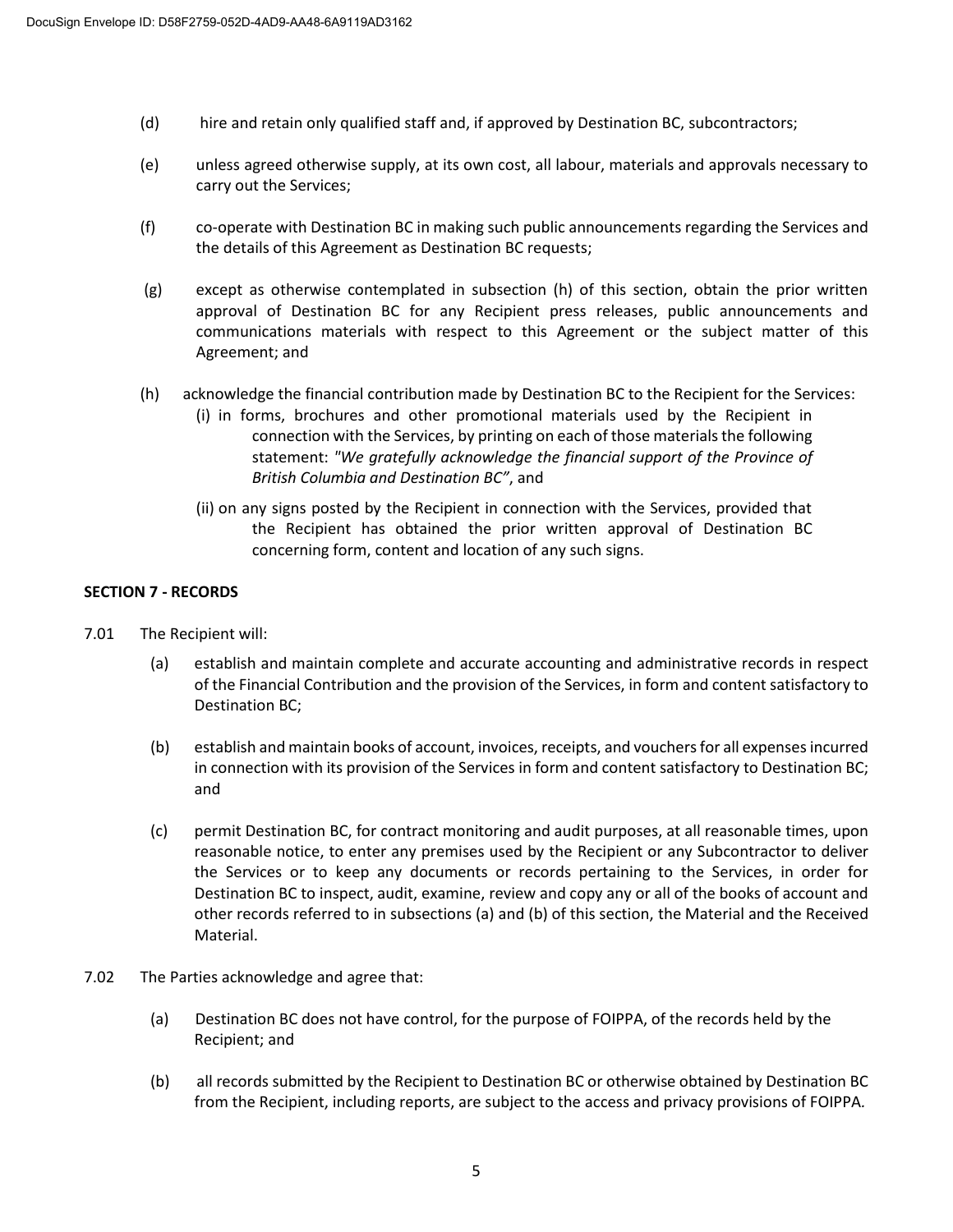- (d) hire and retain only qualified staff and, if approved by Destination BC, subcontractors;
- (e) unless agreed otherwise supply, at its own cost, all labour, materials and approvals necessary to carry out the Services;
- (f) co-operate with Destination BC in making such public announcements regarding the Services and the details of this Agreement as Destination BC requests;
- (g) except as otherwise contemplated in subsection (h) of this section, obtain the prior written approval of Destination BC for any Recipient press releases, public announcements and communications materials with respect to this Agreement or the subject matter of this Agreement; and
- (h) acknowledge the financial contribution made by Destination BC to the Recipient for the Services:
	- (i) in forms, brochures and other promotional materials used by the Recipient in connection with the Services, by printing on each of those materials the following statement: *"We gratefully acknowledge the financial support of the Province of British Columbia and Destination BC"*, and
	- (ii) on any signs posted by the Recipient in connection with the Services, provided that the Recipient has obtained the prior written approval of Destination BC concerning form, content and location of any such signs.

## **SECTION 7 - RECORDS**

- 7.01 The Recipient will:
	- (a) establish and maintain complete and accurate accounting and administrative records in respect of the Financial Contribution and the provision of the Services, in form and content satisfactory to Destination BC;
	- (b) establish and maintain books of account, invoices, receipts, and vouchers for all expenses incurred in connection with its provision of the Services in form and content satisfactory to Destination BC; and
	- (c) permit Destination BC, for contract monitoring and audit purposes, at all reasonable times, upon reasonable notice, to enter any premises used by the Recipient or any Subcontractor to deliver the Services or to keep any documents or records pertaining to the Services, in order for Destination BC to inspect, audit, examine, review and copy any or all of the books of account and other records referred to in subsections (a) and (b) of this section, the Material and the Received Material.
- 7.02 The Parties acknowledge and agree that:
	- (a) Destination BC does not have control, for the purpose of FOIPPA, of the records held by the Recipient; and
	- (b) all records submitted by the Recipient to Destination BC or otherwise obtained by Destination BC from the Recipient, including reports, are subject to the access and privacy provisions of FOIPPA*.*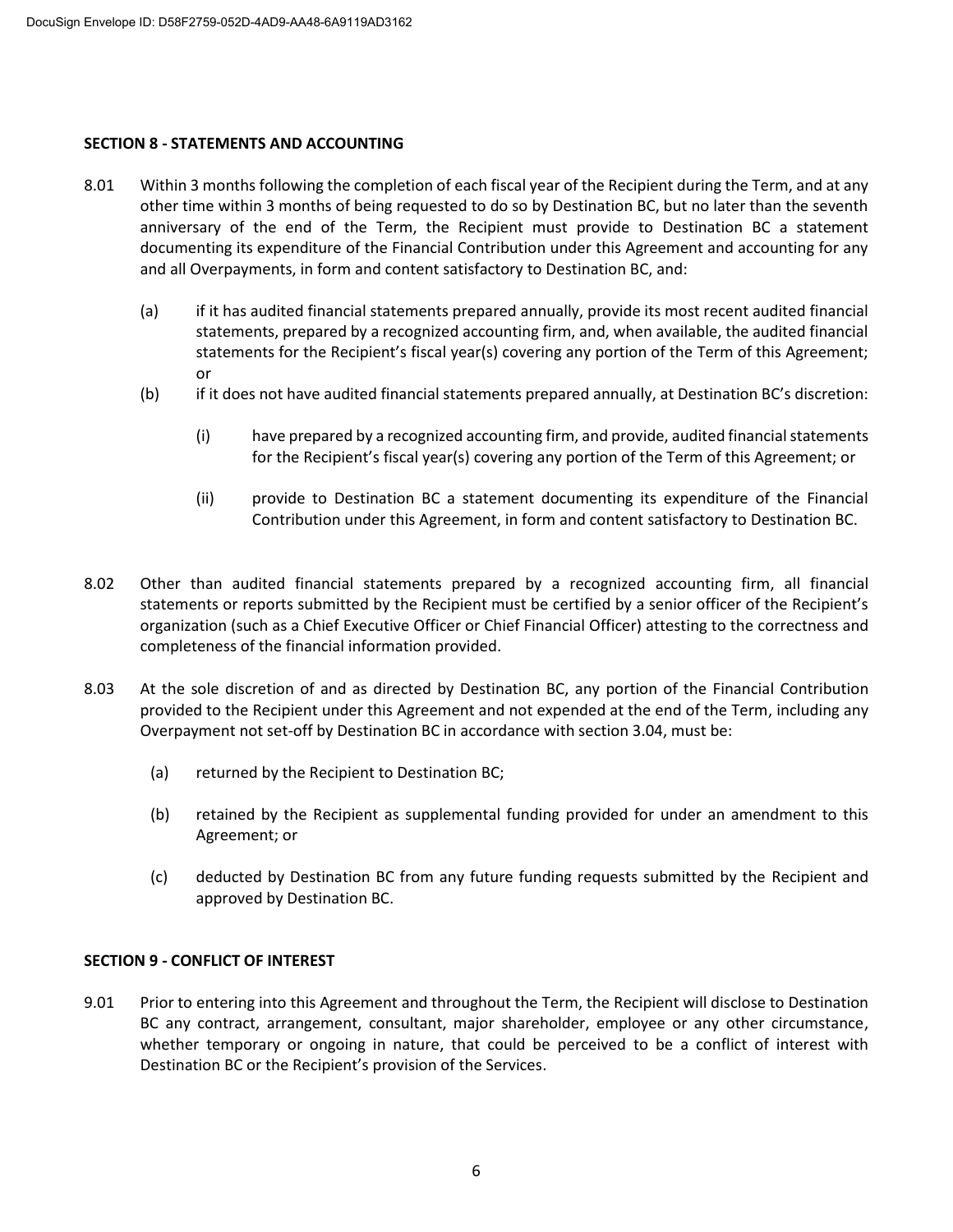### **SECTION 8 - STATEMENTS AND ACCOUNTING**

- 8.01 Within 3 months following the completion of each fiscal year of the Recipient during the Term, and at any other time within 3 months of being requested to do so by Destination BC, but no later than the seventh anniversary of the end of the Term, the Recipient must provide to Destination BC a statement documenting its expenditure of the Financial Contribution under this Agreement and accounting for any and all Overpayments, in form and content satisfactory to Destination BC, and:
	- (a) if it has audited financial statements prepared annually, provide its most recent audited financial statements, prepared by a recognized accounting firm, and, when available, the audited financial statements for the Recipient's fiscal year(s) covering any portion of the Term of this Agreement; or
	- (b) if it does not have audited financial statements prepared annually, at Destination BC's discretion:
		- (i) have prepared by a recognized accounting firm, and provide, audited financial statements for the Recipient's fiscal year(s) covering any portion of the Term of this Agreement; or
		- (ii) provide to Destination BC a statement documenting its expenditure of the Financial Contribution under this Agreement, in form and content satisfactory to Destination BC.
- 8.02 Other than audited financial statements prepared by a recognized accounting firm, all financial statements or reports submitted by the Recipient must be certified by a senior officer of the Recipient's organization (such as a Chief Executive Officer or Chief Financial Officer) attesting to the correctness and completeness of the financial information provided.
- 8.03 At the sole discretion of and as directed by Destination BC, any portion of the Financial Contribution provided to the Recipient under this Agreement and not expended at the end of the Term, including any Overpayment not set-off by Destination BC in accordance with section 3.04, must be:
	- (a) returned by the Recipient to Destination BC;
	- (b) retained by the Recipient as supplemental funding provided for under an amendment to this Agreement; or
	- (c) deducted by Destination BC from any future funding requests submitted by the Recipient and approved by Destination BC.

## **SECTION 9 - CONFLICT OF INTEREST**

9.01 Prior to entering into this Agreement and throughout the Term, the Recipient will disclose to Destination BC any contract, arrangement, consultant, major shareholder, employee or any other circumstance, whether temporary or ongoing in nature, that could be perceived to be a conflict of interest with Destination BC or the Recipient's provision of the Services.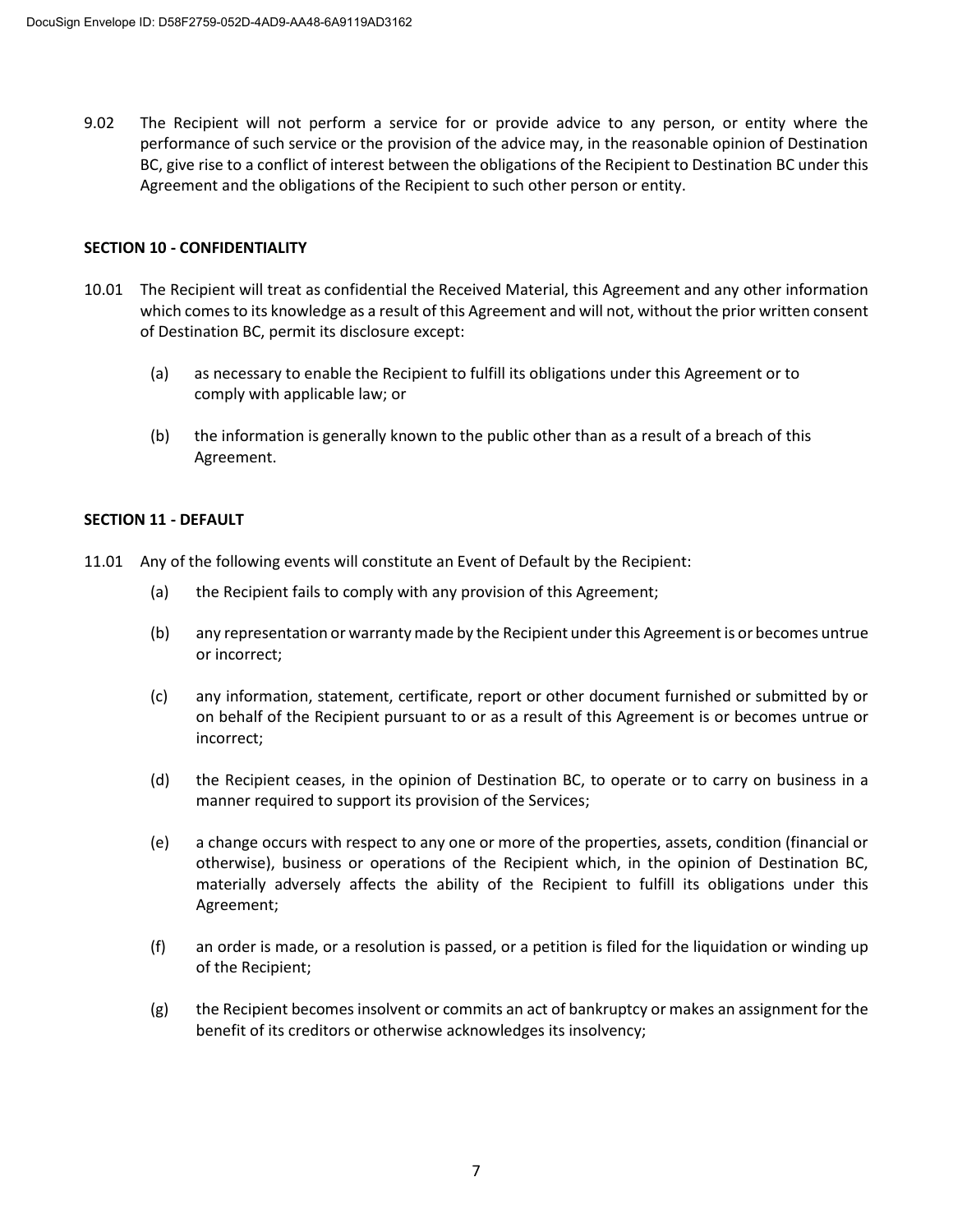9.02 The Recipient will not perform a service for or provide advice to any person, or entity where the performance of such service or the provision of the advice may, in the reasonable opinion of Destination BC, give rise to a conflict of interest between the obligations of the Recipient to Destination BC under this Agreement and the obligations of the Recipient to such other person or entity.

### **SECTION 10 - CONFIDENTIALITY**

- 10.01 The Recipient will treat as confidential the Received Material, this Agreement and any other information which comes to its knowledge as a result of this Agreement and will not, without the prior written consent of Destination BC, permit its disclosure except:
	- (a) as necessary to enable the Recipient to fulfill its obligations under this Agreement or to comply with applicable law; or
	- (b) the information is generally known to the public other than as a result of a breach of this Agreement.

### **SECTION 11 - DEFAULT**

- 11.01 Any of the following events will constitute an Event of Default by the Recipient:
	- (a) the Recipient fails to comply with any provision of this Agreement;
	- (b) any representation or warranty made by the Recipient under this Agreement is or becomes untrue or incorrect;
	- (c) any information, statement, certificate, report or other document furnished or submitted by or on behalf of the Recipient pursuant to or as a result of this Agreement is or becomes untrue or incorrect;
	- (d) the Recipient ceases, in the opinion of Destination BC, to operate or to carry on business in a manner required to support its provision of the Services;
	- (e) a change occurs with respect to any one or more of the properties, assets, condition (financial or otherwise), business or operations of the Recipient which, in the opinion of Destination BC, materially adversely affects the ability of the Recipient to fulfill its obligations under this Agreement;
	- (f) an order is made, or a resolution is passed, or a petition is filed for the liquidation or winding up of the Recipient;
	- (g) the Recipient becomes insolvent or commits an act of bankruptcy or makes an assignment for the benefit of its creditors or otherwise acknowledges its insolvency;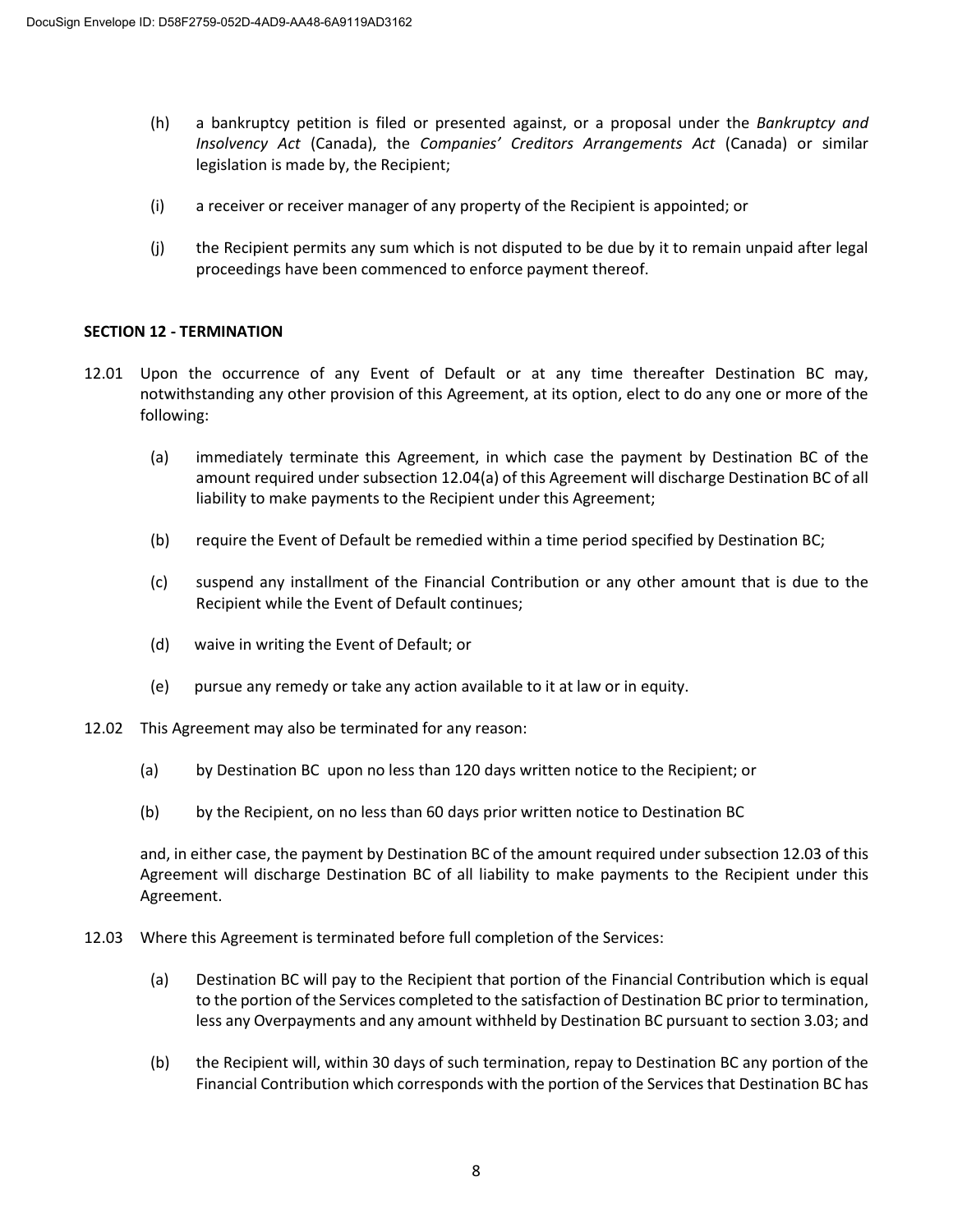- (h) a bankruptcy petition is filed or presented against, or a proposal under the *Bankruptcy and Insolvency Act* (Canada), the *Companies' Creditors Arrangements Act* (Canada) or similar legislation is made by, the Recipient;
- (i) a receiver or receiver manager of any property of the Recipient is appointed; or
- (j) the Recipient permits any sum which is not disputed to be due by it to remain unpaid after legal proceedings have been commenced to enforce payment thereof.

## **SECTION 12 - TERMINATION**

- 12.01 Upon the occurrence of any Event of Default or at any time thereafter Destination BC may, notwithstanding any other provision of this Agreement, at its option, elect to do any one or more of the following:
	- (a) immediately terminate this Agreement, in which case the payment by Destination BC of the amount required under subsection 12.04(a) of this Agreement will discharge Destination BC of all liability to make payments to the Recipient under this Agreement;
	- (b) require the Event of Default be remedied within a time period specified by Destination BC;
	- (c) suspend any installment of the Financial Contribution or any other amount that is due to the Recipient while the Event of Default continues;
	- (d) waive in writing the Event of Default; or
	- (e) pursue any remedy or take any action available to it at law or in equity.
- 12.02 This Agreement may also be terminated for any reason:
	- (a) by Destination BC upon no less than 120 days written notice to the Recipient; or
	- (b) by the Recipient, on no less than 60 days prior written notice to Destination BC

and, in either case, the payment by Destination BC of the amount required under subsection 12.03 of this Agreement will discharge Destination BC of all liability to make payments to the Recipient under this Agreement.

- 12.03 Where this Agreement is terminated before full completion of the Services:
	- (a) Destination BC will pay to the Recipient that portion of the Financial Contribution which is equal to the portion of the Services completed to the satisfaction of Destination BC prior to termination, less any Overpayments and any amount withheld by Destination BC pursuant to section 3.03; and
	- (b) the Recipient will, within 30 days of such termination, repay to Destination BC any portion of the Financial Contribution which corresponds with the portion of the Services that Destination BC has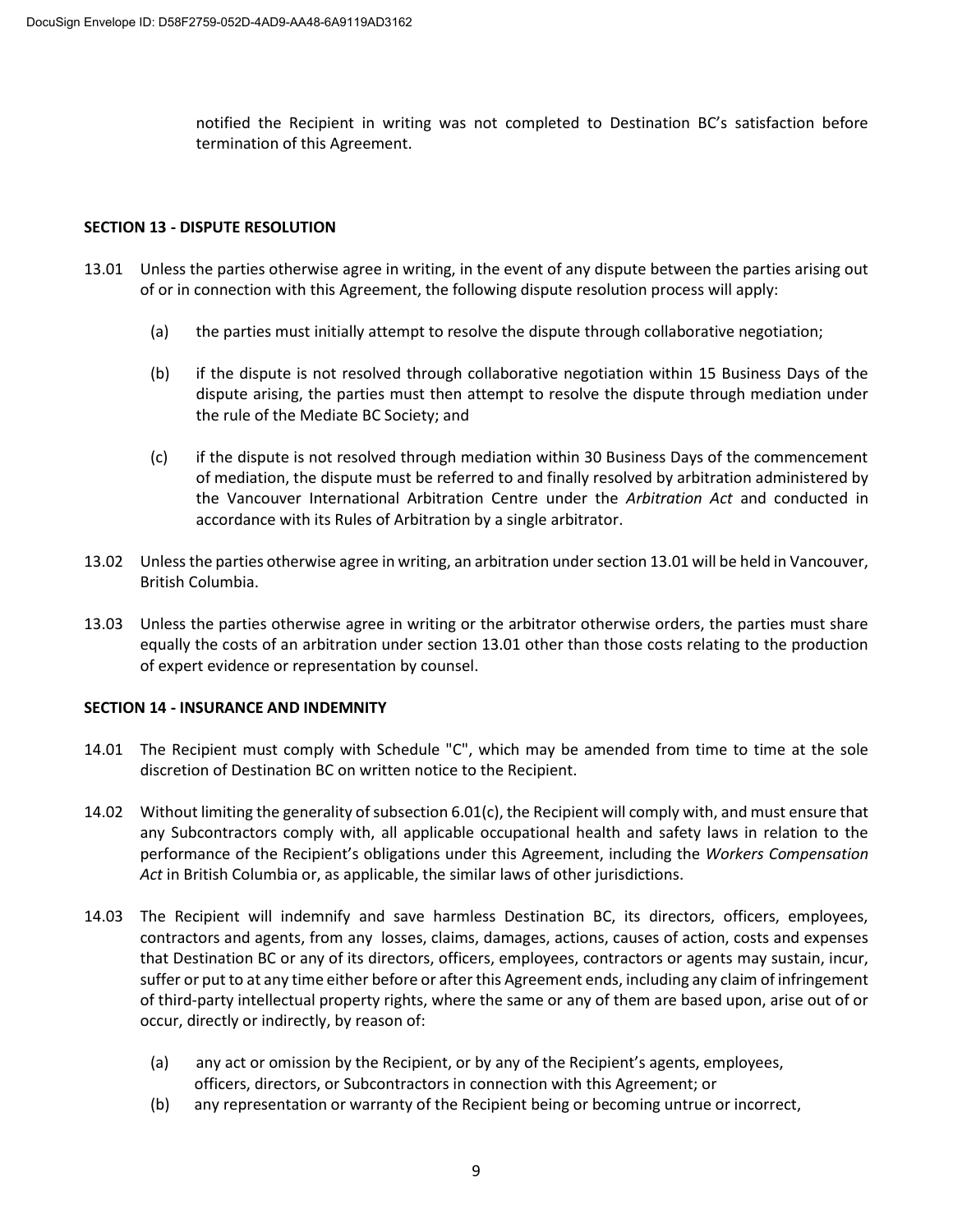notified the Recipient in writing was not completed to Destination BC's satisfaction before termination of this Agreement.

## **SECTION 13 - DISPUTE RESOLUTION**

- 13.01 Unless the parties otherwise agree in writing, in the event of any dispute between the parties arising out of or in connection with this Agreement, the following dispute resolution process will apply:
	- (a) the parties must initially attempt to resolve the dispute through collaborative negotiation;
	- (b) if the dispute is not resolved through collaborative negotiation within 15 Business Days of the dispute arising, the parties must then attempt to resolve the dispute through mediation under the rule of the Mediate BC Society; and
	- (c) if the dispute is not resolved through mediation within 30 Business Days of the commencement of mediation, the dispute must be referred to and finally resolved by arbitration administered by the Vancouver International Arbitration Centre under the *Arbitration Act* and conducted in accordance with its Rules of Arbitration by a single arbitrator.
- 13.02 Unless the parties otherwise agree in writing, an arbitration under section 13.01 will be held in Vancouver, British Columbia.
- 13.03 Unless the parties otherwise agree in writing or the arbitrator otherwise orders, the parties must share equally the costs of an arbitration under section 13.01 other than those costs relating to the production of expert evidence or representation by counsel.

#### **SECTION 14 - INSURANCE AND INDEMNITY**

- 14.01 The Recipient must comply with Schedule "C", which may be amended from time to time at the sole discretion of Destination BC on written notice to the Recipient.
- 14.02 Without limiting the generality of subsection 6.01(c), the Recipient will comply with, and must ensure that any Subcontractors comply with, all applicable occupational health and safety laws in relation to the performance of the Recipient's obligations under this Agreement, including the *Workers Compensation Act* in British Columbia or, as applicable, the similar laws of other jurisdictions.
- 14.03 The Recipient will indemnify and save harmless Destination BC, its directors, officers, employees, contractors and agents, from any losses, claims, damages, actions, causes of action, costs and expenses that Destination BC or any of its directors, officers, employees, contractors or agents may sustain, incur, suffer or put to at any time either before or after this Agreement ends, including any claim of infringement of third-party intellectual property rights, where the same or any of them are based upon, arise out of or occur, directly or indirectly, by reason of:
	- (a) any act or omission by the Recipient, or by any of the Recipient's agents, employees, officers, directors, or Subcontractors in connection with this Agreement; or
	- (b) any representation or warranty of the Recipient being or becoming untrue or incorrect,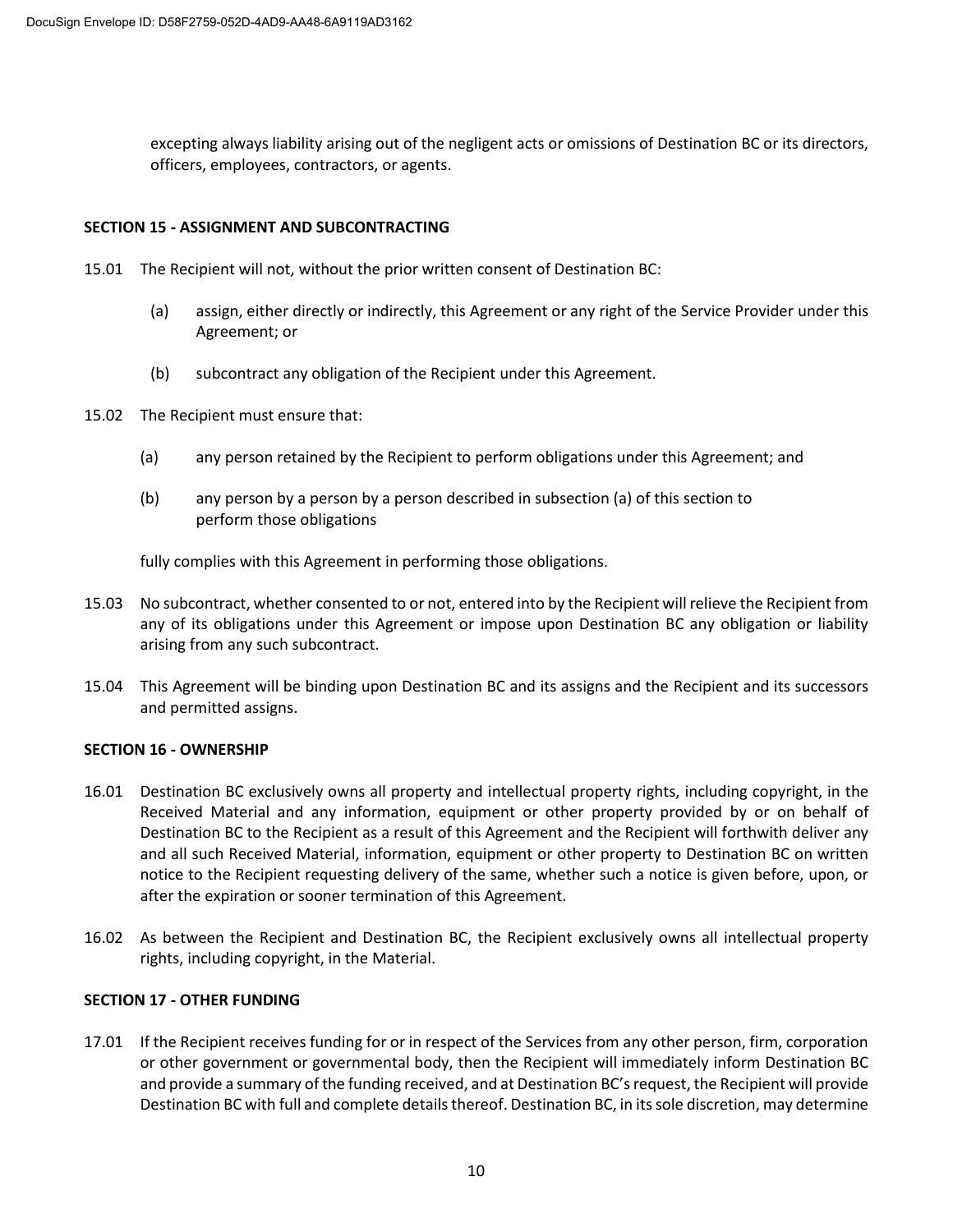excepting always liability arising out of the negligent acts or omissions of Destination BC or its directors, officers, employees, contractors, or agents.

### **SECTION 15 - ASSIGNMENT AND SUBCONTRACTING**

- 15.01 The Recipient will not, without the prior written consent of Destination BC:
	- (a) assign, either directly or indirectly, this Agreement or any right of the Service Provider under this Agreement; or
	- (b) subcontract any obligation of the Recipient under this Agreement.
- 15.02 The Recipient must ensure that:
	- (a) any person retained by the Recipient to perform obligations under this Agreement; and
	- (b) any person by a person by a person described in subsection (a) of this section to perform those obligations

fully complies with this Agreement in performing those obligations.

- 15.03 No subcontract, whether consented to or not, entered into by the Recipient will relieve the Recipient from any of its obligations under this Agreement or impose upon Destination BC any obligation or liability arising from any such subcontract.
- 15.04 This Agreement will be binding upon Destination BC and its assigns and the Recipient and its successors and permitted assigns.

#### **SECTION 16 - OWNERSHIP**

- 16.01 Destination BC exclusively owns all property and intellectual property rights, including copyright, in the Received Material and any information, equipment or other property provided by or on behalf of Destination BC to the Recipient as a result of this Agreement and the Recipient will forthwith deliver any and all such Received Material, information, equipment or other property to Destination BC on written notice to the Recipient requesting delivery of the same, whether such a notice is given before, upon, or after the expiration or sooner termination of this Agreement.
- 16.02 As between the Recipient and Destination BC, the Recipient exclusively owns all intellectual property rights, including copyright, in the Material.

## **SECTION 17 - OTHER FUNDING**

17.01 If the Recipient receives funding for or in respect of the Services from any other person, firm, corporation or other government or governmental body, then the Recipient will immediately inform Destination BC and provide a summary of the funding received, and at Destination BC's request, the Recipient will provide Destination BC with full and complete details thereof. Destination BC, in its sole discretion, may determine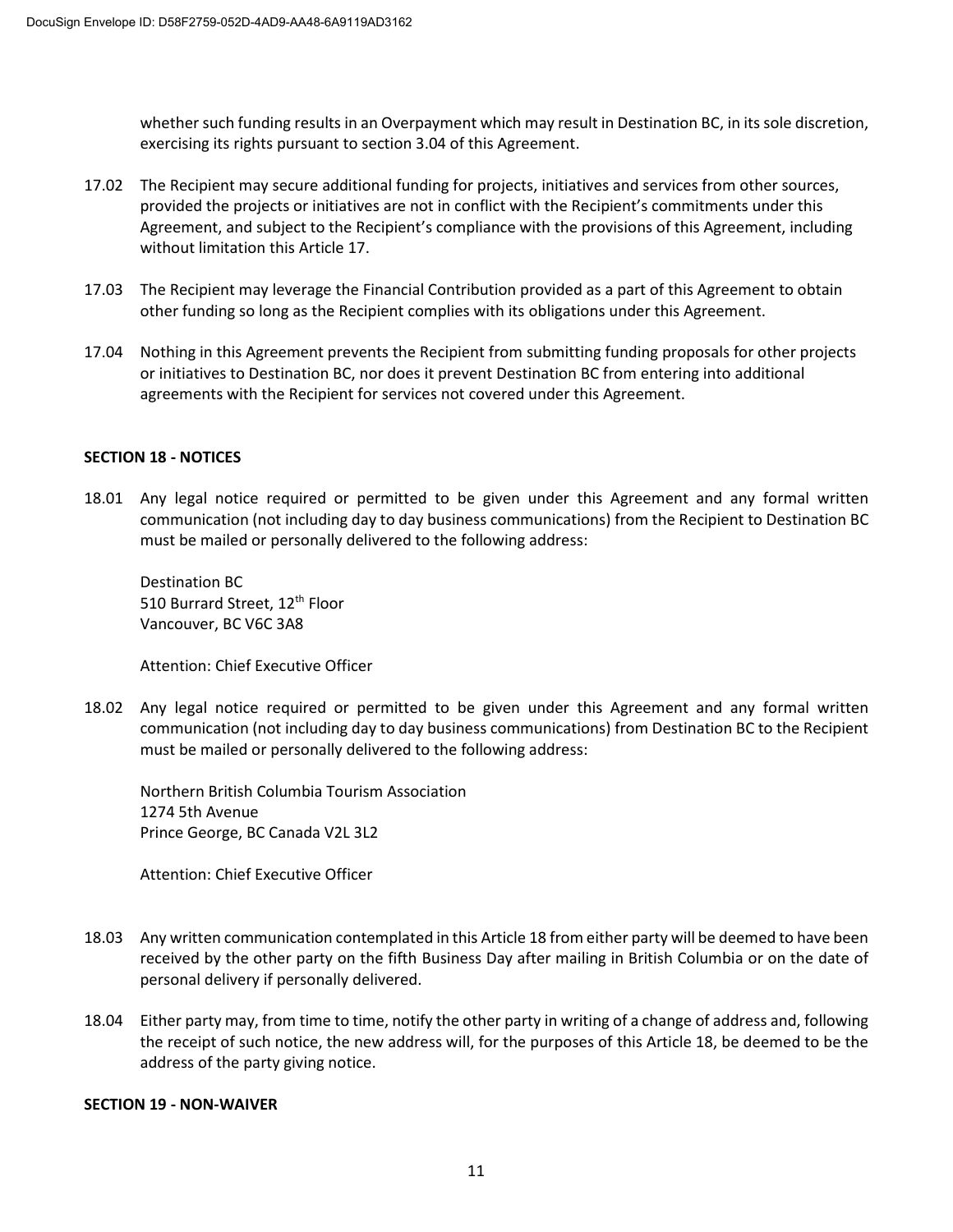whether such funding results in an Overpayment which may result in Destination BC, in its sole discretion, exercising its rights pursuant to section 3.04 of this Agreement.

- 17.02 The Recipient may secure additional funding for projects, initiatives and services from other sources, provided the projects or initiatives are not in conflict with the Recipient's commitments under this Agreement, and subject to the Recipient's compliance with the provisions of this Agreement, including without limitation this Article 17.
- 17.03 The Recipient may leverage the Financial Contribution provided as a part of this Agreement to obtain other funding so long as the Recipient complies with its obligations under this Agreement.
- 17.04 Nothing in this Agreement prevents the Recipient from submitting funding proposals for other projects or initiatives to Destination BC, nor does it prevent Destination BC from entering into additional agreements with the Recipient for services not covered under this Agreement.

## **SECTION 18 - NOTICES**

18.01 Any legal notice required or permitted to be given under this Agreement and any formal written communication (not including day to day business communications) from the Recipient to Destination BC must be mailed or personally delivered to the following address:

Destination BC 510 Burrard Street, 12<sup>th</sup> Floor Vancouver, BC V6C 3A8

Attention: Chief Executive Officer

18.02 Any legal notice required or permitted to be given under this Agreement and any formal written communication (not including day to day business communications) from Destination BC to the Recipient must be mailed or personally delivered to the following address:

Northern British Columbia Tourism Association 1274 5th Avenue Prince George, BC Canada V2L 3L2

Attention: Chief Executive Officer

- 18.03 Any written communication contemplated in this Article 18 from either party will be deemed to have been received by the other party on the fifth Business Day after mailing in British Columbia or on the date of personal delivery if personally delivered.
- 18.04 Either party may, from time to time, notify the other party in writing of a change of address and, following the receipt of such notice, the new address will, for the purposes of this Article 18, be deemed to be the address of the party giving notice.

#### **SECTION 19 - NON-WAIVER**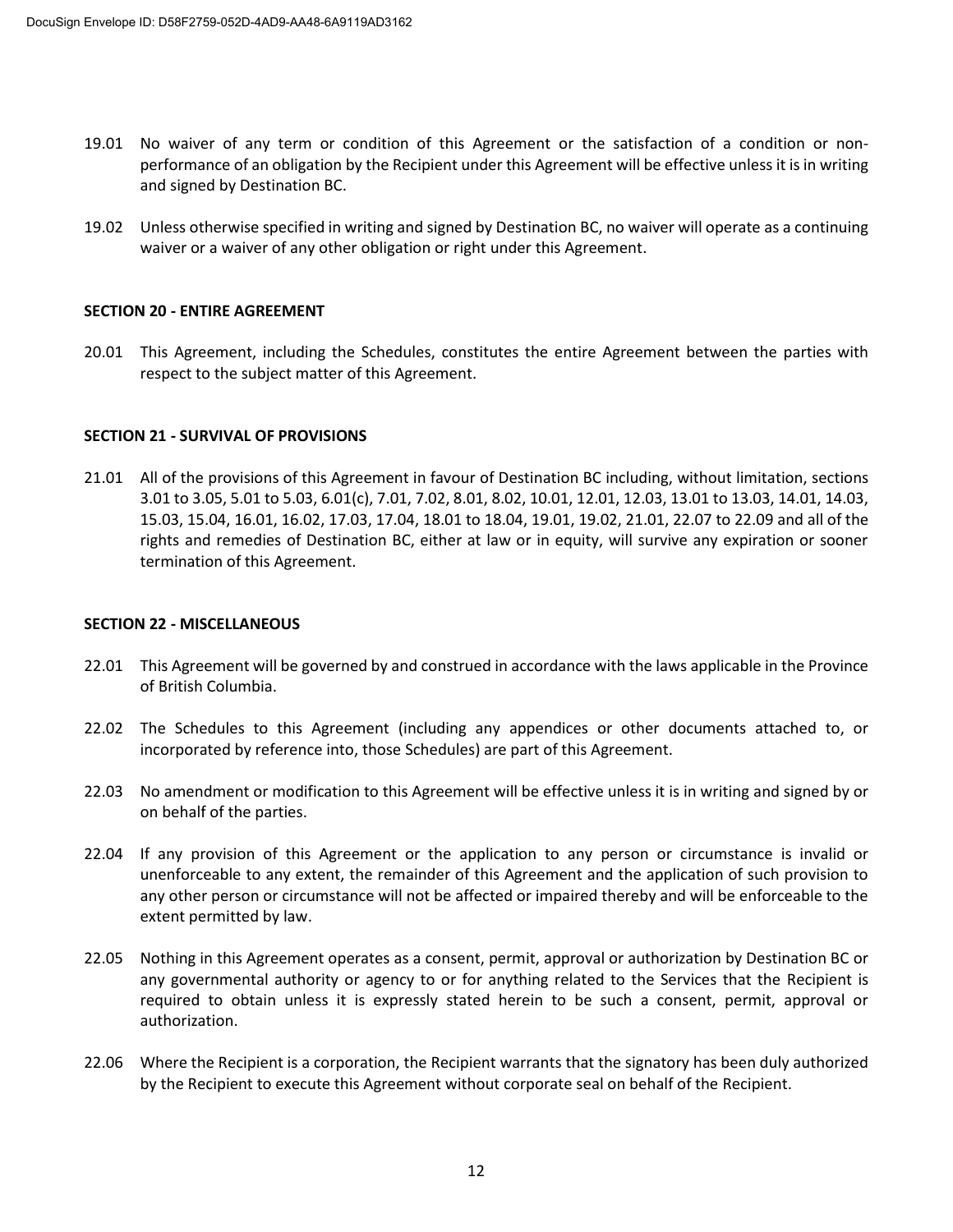- 19.01 No waiver of any term or condition of this Agreement or the satisfaction of a condition or nonperformance of an obligation by the Recipient under this Agreement will be effective unless it is in writing and signed by Destination BC.
- 19.02 Unless otherwise specified in writing and signed by Destination BC, no waiver will operate as a continuing waiver or a waiver of any other obligation or right under this Agreement.

### **SECTION 20 - ENTIRE AGREEMENT**

20.01 This Agreement, including the Schedules, constitutes the entire Agreement between the parties with respect to the subject matter of this Agreement.

### **SECTION 21 - SURVIVAL OF PROVISIONS**

21.01 All of the provisions of this Agreement in favour of Destination BC including, without limitation, sections 3.01 to 3.05, 5.01 to 5.03, 6.01(c), 7.01, 7.02, 8.01, 8.02, 10.01, 12.01, 12.03, 13.01 to 13.03, 14.01, 14.03, 15.03, 15.04, 16.01, 16.02, 17.03, 17.04, 18.01 to 18.04, 19.01, 19.02, 21.01, 22.07 to 22.09 and all of the rights and remedies of Destination BC, either at law or in equity, will survive any expiration or sooner termination of this Agreement.

#### **SECTION 22 - MISCELLANEOUS**

- 22.01 This Agreement will be governed by and construed in accordance with the laws applicable in the Province of British Columbia.
- 22.02 The Schedules to this Agreement (including any appendices or other documents attached to, or incorporated by reference into, those Schedules) are part of this Agreement.
- 22.03 No amendment or modification to this Agreement will be effective unless it is in writing and signed by or on behalf of the parties.
- 22.04 If any provision of this Agreement or the application to any person or circumstance is invalid or unenforceable to any extent, the remainder of this Agreement and the application of such provision to any other person or circumstance will not be affected or impaired thereby and will be enforceable to the extent permitted by law.
- 22.05 Nothing in this Agreement operates as a consent, permit, approval or authorization by Destination BC or any governmental authority or agency to or for anything related to the Services that the Recipient is required to obtain unless it is expressly stated herein to be such a consent, permit, approval or authorization.
- 22.06 Where the Recipient is a corporation, the Recipient warrants that the signatory has been duly authorized by the Recipient to execute this Agreement without corporate seal on behalf of the Recipient.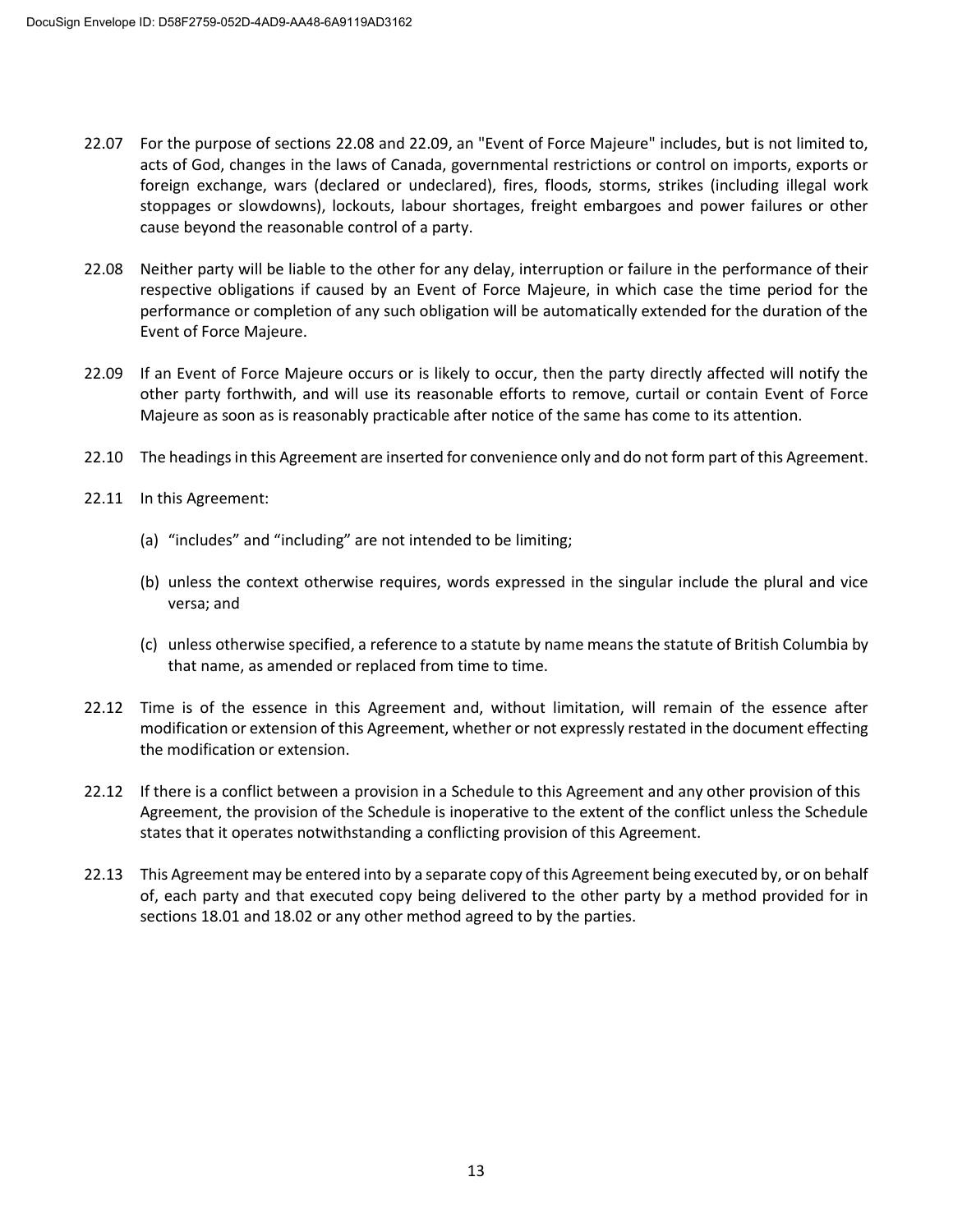- 22.07 For the purpose of sections 22.08 and 22.09, an "Event of Force Majeure" includes, but is not limited to, acts of God, changes in the laws of Canada, governmental restrictions or control on imports, exports or foreign exchange, wars (declared or undeclared), fires, floods, storms, strikes (including illegal work stoppages or slowdowns), lockouts, labour shortages, freight embargoes and power failures or other cause beyond the reasonable control of a party.
- 22.08 Neither party will be liable to the other for any delay, interruption or failure in the performance of their respective obligations if caused by an Event of Force Majeure, in which case the time period for the performance or completion of any such obligation will be automatically extended for the duration of the Event of Force Majeure.
- 22.09 If an Event of Force Majeure occurs or is likely to occur, then the party directly affected will notify the other party forthwith, and will use its reasonable efforts to remove, curtail or contain Event of Force Majeure as soon as is reasonably practicable after notice of the same has come to its attention.
- 22.10 The headings in this Agreement are inserted for convenience only and do not form part of this Agreement.
- 22.11 In this Agreement:
	- (a) "includes" and "including" are not intended to be limiting;
	- (b) unless the context otherwise requires, words expressed in the singular include the plural and vice versa; and
	- (c) unless otherwise specified, a reference to a statute by name means the statute of British Columbia by that name, as amended or replaced from time to time.
- 22.12 Time is of the essence in this Agreement and, without limitation, will remain of the essence after modification or extension of this Agreement, whether or not expressly restated in the document effecting the modification or extension.
- 22.12 If there is a conflict between a provision in a Schedule to this Agreement and any other provision of this Agreement, the provision of the Schedule is inoperative to the extent of the conflict unless the Schedule states that it operates notwithstanding a conflicting provision of this Agreement.
- 22.13 This Agreement may be entered into by a separate copy of this Agreement being executed by, or on behalf of, each party and that executed copy being delivered to the other party by a method provided for in sections 18.01 and 18.02 or any other method agreed to by the parties.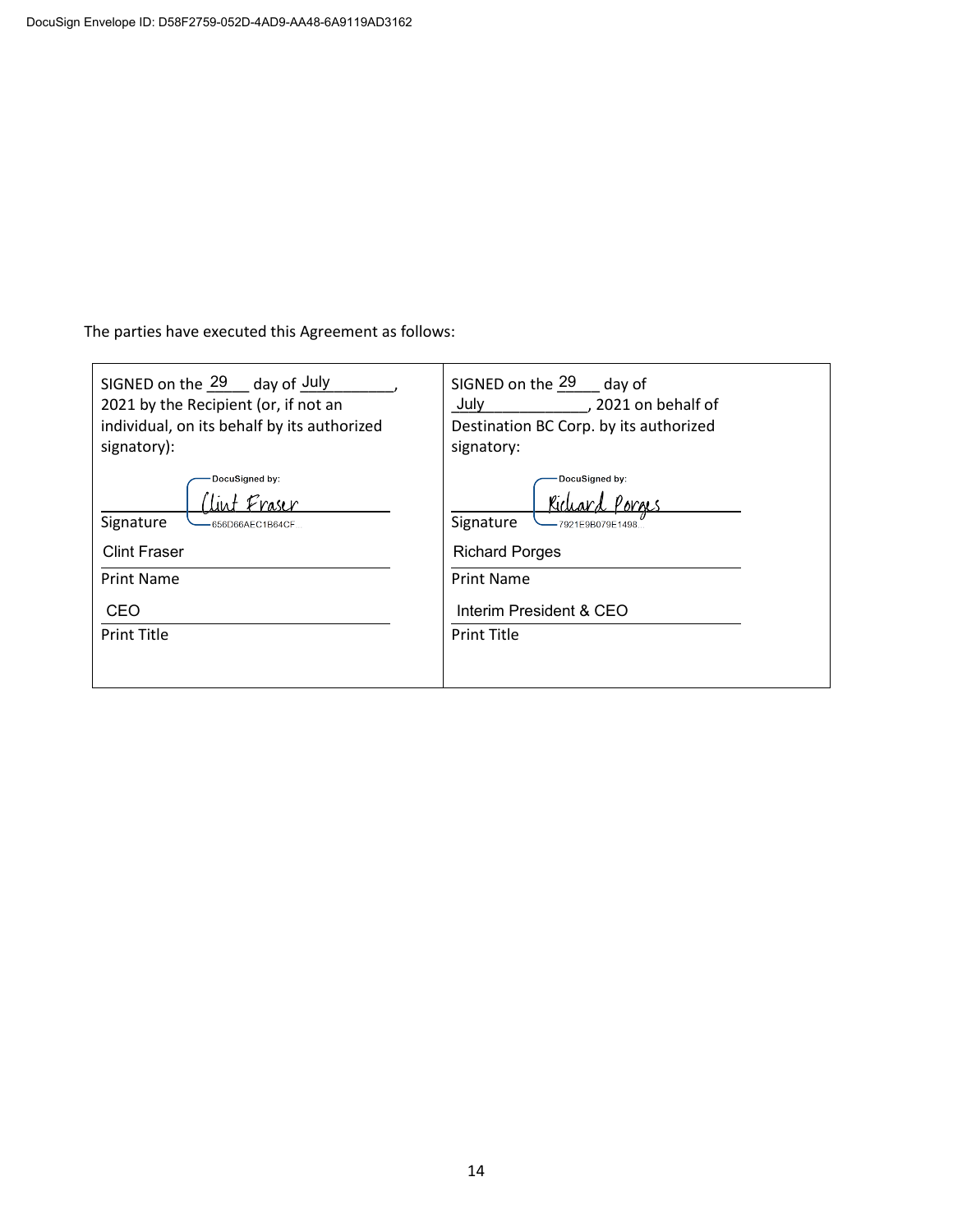The parties have executed this Agreement as follows:

| SIGNED on the 29 day of July<br>2021 by the Recipient (or, if not an<br>individual, on its behalf by its authorized<br>signatory): | SIGNED on the 29 day of<br>July<br>, 2021 on behalf of<br>Destination BC Corp. by its authorized<br>signatory: |  |  |
|------------------------------------------------------------------------------------------------------------------------------------|----------------------------------------------------------------------------------------------------------------|--|--|
| DocuSigned by:                                                                                                                     | DocuSigned by:                                                                                                 |  |  |
| Signature                                                                                                                          | Signature                                                                                                      |  |  |
| -656D66AEC1B64CF                                                                                                                   | -7921E9B079E1498                                                                                               |  |  |
| <b>Clint Fraser</b>                                                                                                                | <b>Richard Porges</b>                                                                                          |  |  |
| <b>Print Name</b>                                                                                                                  | <b>Print Name</b>                                                                                              |  |  |
| CEO                                                                                                                                | Interim President & CEO                                                                                        |  |  |
| <b>Print Title</b>                                                                                                                 | <b>Print Title</b>                                                                                             |  |  |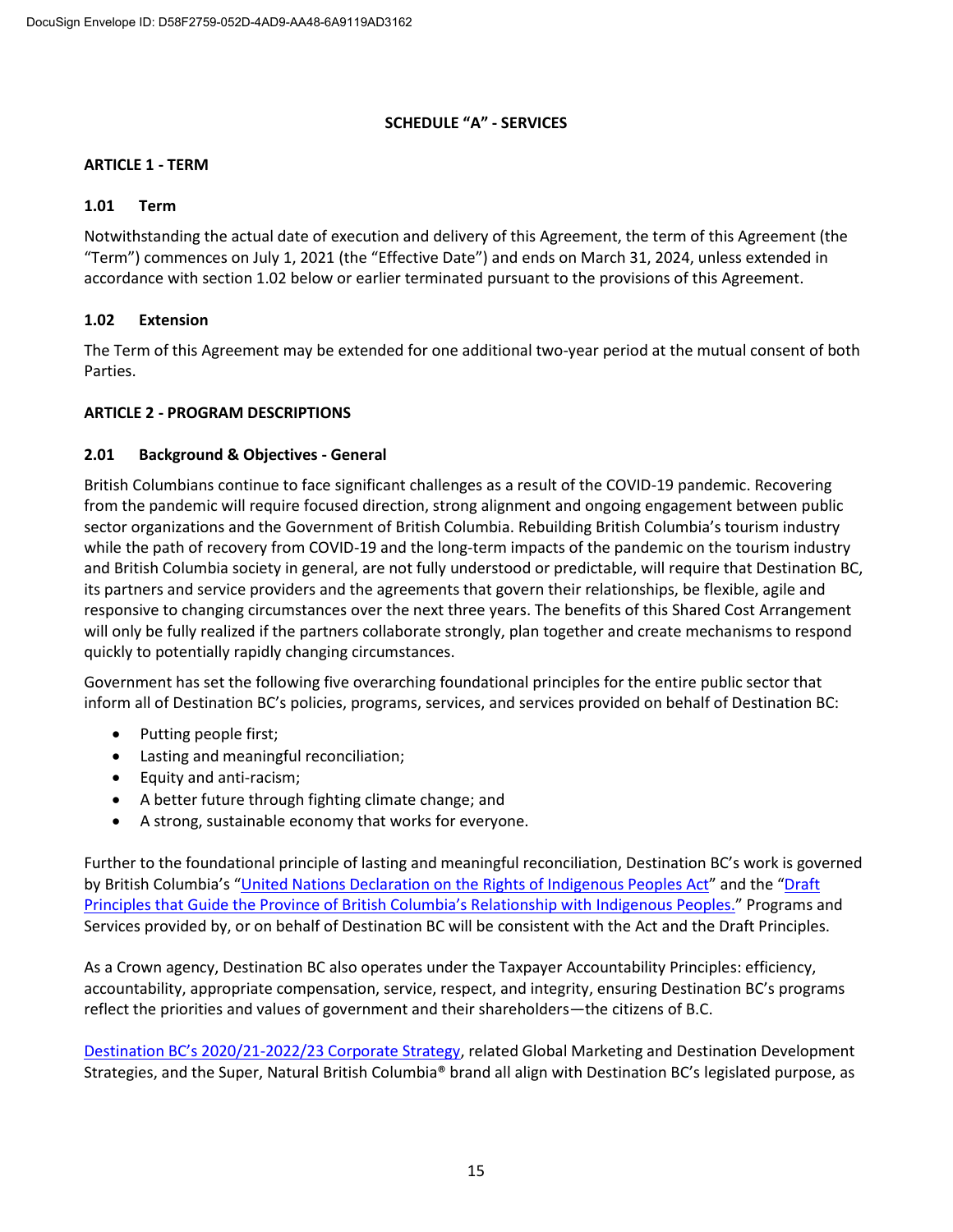## **SCHEDULE "A" - SERVICES**

## **ARTICLE 1 - TERM**

### **1.01 Term**

Notwithstanding the actual date of execution and delivery of this Agreement, the term of this Agreement (the "Term") commences on July 1, 2021 (the "Effective Date") and ends on March 31, 2024, unless extended in accordance with section 1.02 below or earlier terminated pursuant to the provisions of this Agreement.

## **1.02 Extension**

The Term of this Agreement may be extended for one additional two-year period at the mutual consent of both Parties.

### **ARTICLE 2 - PROGRAM DESCRIPTIONS**

### **2.01 Background & Objectives - General**

British Columbians continue to face significant challenges as a result of the COVID-19 pandemic. Recovering from the pandemic will require focused direction, strong alignment and ongoing engagement between public sector organizations and the Government of British Columbia. Rebuilding British Columbia's tourism industry while the path of recovery from COVID-19 and the long-term impacts of the pandemic on the tourism industry and British Columbia society in general, are not fully understood or predictable, will require that Destination BC, its partners and service providers and the agreements that govern their relationships, be flexible, agile and responsive to changing circumstances over the next three years. The benefits of this Shared Cost Arrangement will only be fully realized if the partners collaborate strongly, plan together and create mechanisms to respond quickly to potentially rapidly changing circumstances.

Government has set the following five overarching foundational principles for the entire public sector that inform all of Destination BC's policies, programs, services, and services provided on behalf of Destination BC:

- Putting people first;
- Lasting and meaningful reconciliation;
- Equity and anti-racism;
- A better future through fighting climate change; and
- A strong, sustainable economy that works for everyone.

Further to the foundational principle of lasting and meaningful reconciliation, Destination BC's work is governed by British Columbia's "United Nations Declaration [on the Rights of Indigenous Peoples Act](https://www.leg.bc.ca/parliamentary-business/legislation-debates-proceedings/41st-parliament/4th-session/bills/first-reading/gov41-1)" and the "Draft [Principles that Guide the Province of British Columbia's Relationship with](https://www2.gov.bc.ca/assets/gov/careers/about-the-bc-public-service/diversity-inclusion-respect/draft_principles.pdf) Indigenous Peoples." Programs and Services provided by, or on behalf of Destination BC will be consistent with the Act and the Draft Principles.

As a Crown agency, Destination BC also operates under the Taxpayer Accountability Principles: efficiency, accountability, appropriate compensation, service, respect, and integrity, ensuring Destination BC's programs reflect the priorities and values of government and their shareholders—the citizens of B.C.

Destination BC's 2020/21[-2022/23 Corporate Strategy,](https://www.destinationbc.ca/content/uploads/2021/03/CorporateStrategy2020-2023_March2021_Update-March-9.pdf) related Global Marketing and Destination Development Strategies, and the Super, Natural British Columbia® brand all align with Destination BC's legislated purpose, as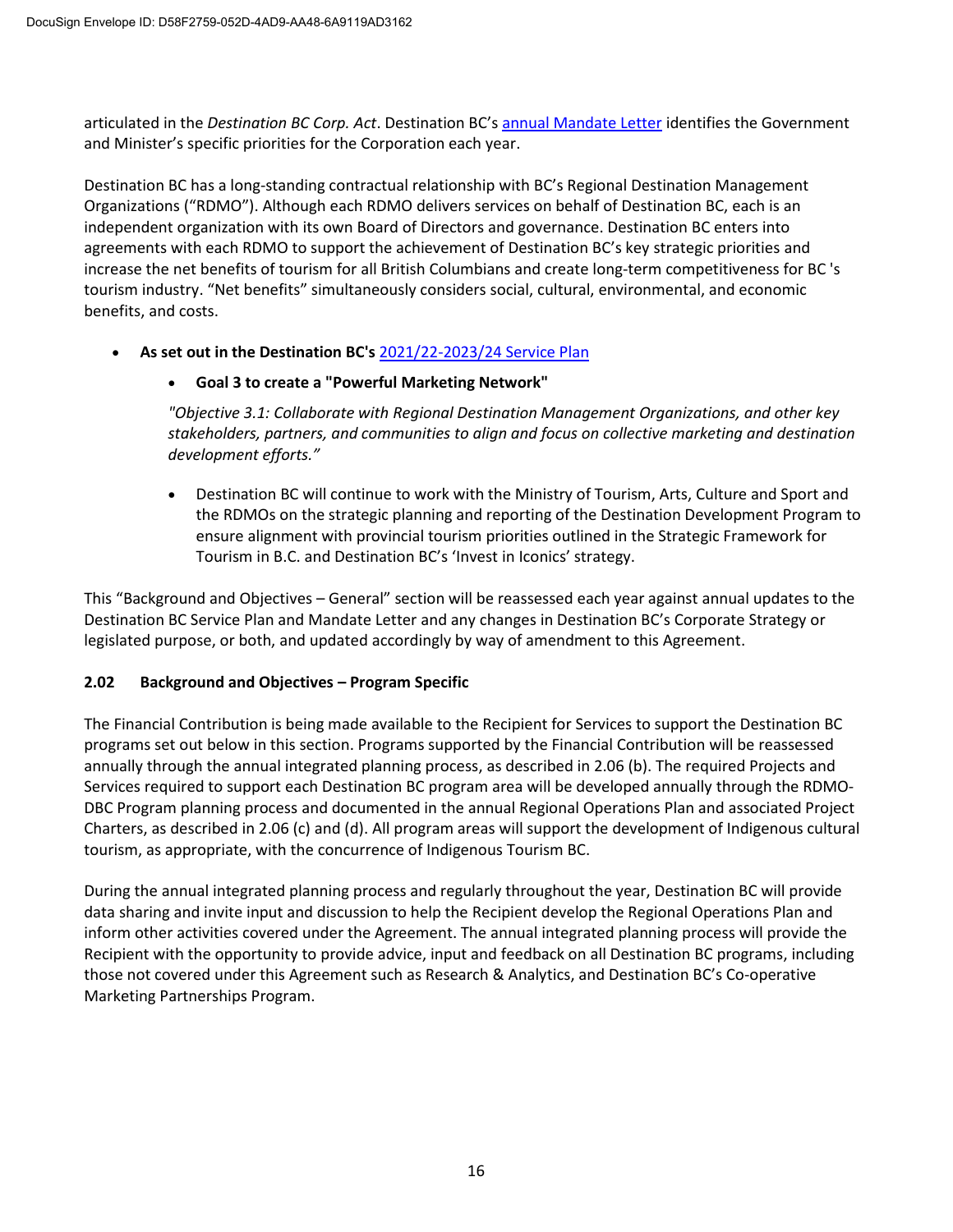articulated in the *Destination BC Corp. Act*. Destination BC's [annual Mandate Letter](https://www.destinationbc.ca/content/uploads/2021/06/2021-22DBCMandateLetter-Signed_Final.pdf) identifies the Government and Minister's specific priorities for the Corporation each year.

Destination BC has a long-standing contractual relationship with BC's Regional Destination Management Organizations ("RDMO"). Although each RDMO delivers services on behalf of Destination BC, each is an independent organization with its own Board of Directors and governance. Destination BC enters into agreements with each RDMO to support the achievement of Destination BC's key strategic priorities and increase the net benefits of tourism for all British Columbians and create long-term competitiveness for BC 's tourism industry. "Net benefits" simultaneously considers social, cultural, environmental, and economic benefits, and costs.

• **As set out in the Destination BC's** [2021/22-2023/24 Service Plan](https://www.destinationbc.ca/content/uploads/2021/04/2021-22DBCService-Plan_Final.pdf)

## • **Goal 3 to create a "Powerful Marketing Network"**

*"Objective 3.1: Collaborate with Regional Destination Management Organizations, and other key stakeholders, partners, and communities to align and focus on collective marketing and destination development efforts."*

• Destination BC will continue to work with the Ministry of Tourism, Arts, Culture and Sport and the RDMOs on the strategic planning and reporting of the Destination Development Program to ensure alignment with provincial tourism priorities outlined in the Strategic Framework for Tourism in B.C. and Destination BC's 'Invest in Iconics' strategy.

This "Background and Objectives – General" section will be reassessed each year against annual updates to the Destination BC Service Plan and Mandate Letter and any changes in Destination BC's Corporate Strategy or legislated purpose, or both, and updated accordingly by way of amendment to this Agreement.

# **2.02 Background and Objectives – Program Specific**

The Financial Contribution is being made available to the Recipient for Services to support the Destination BC programs set out below in this section. Programs supported by the Financial Contribution will be reassessed annually through the annual integrated planning process, as described in 2.06 (b). The required Projects and Services required to support each Destination BC program area will be developed annually through the RDMO-DBC Program planning process and documented in the annual Regional Operations Plan and associated Project Charters, as described in 2.06 (c) and (d). All program areas will support the development of Indigenous cultural tourism, as appropriate, with the concurrence of Indigenous Tourism BC.

During the annual integrated planning process and regularly throughout the year, Destination BC will provide data sharing and invite input and discussion to help the Recipient develop the Regional Operations Plan and inform other activities covered under the Agreement. The annual integrated planning process will provide the Recipient with the opportunity to provide advice, input and feedback on all Destination BC programs, including those not covered under this Agreement such as Research & Analytics, and Destination BC's Co-operative Marketing Partnerships Program.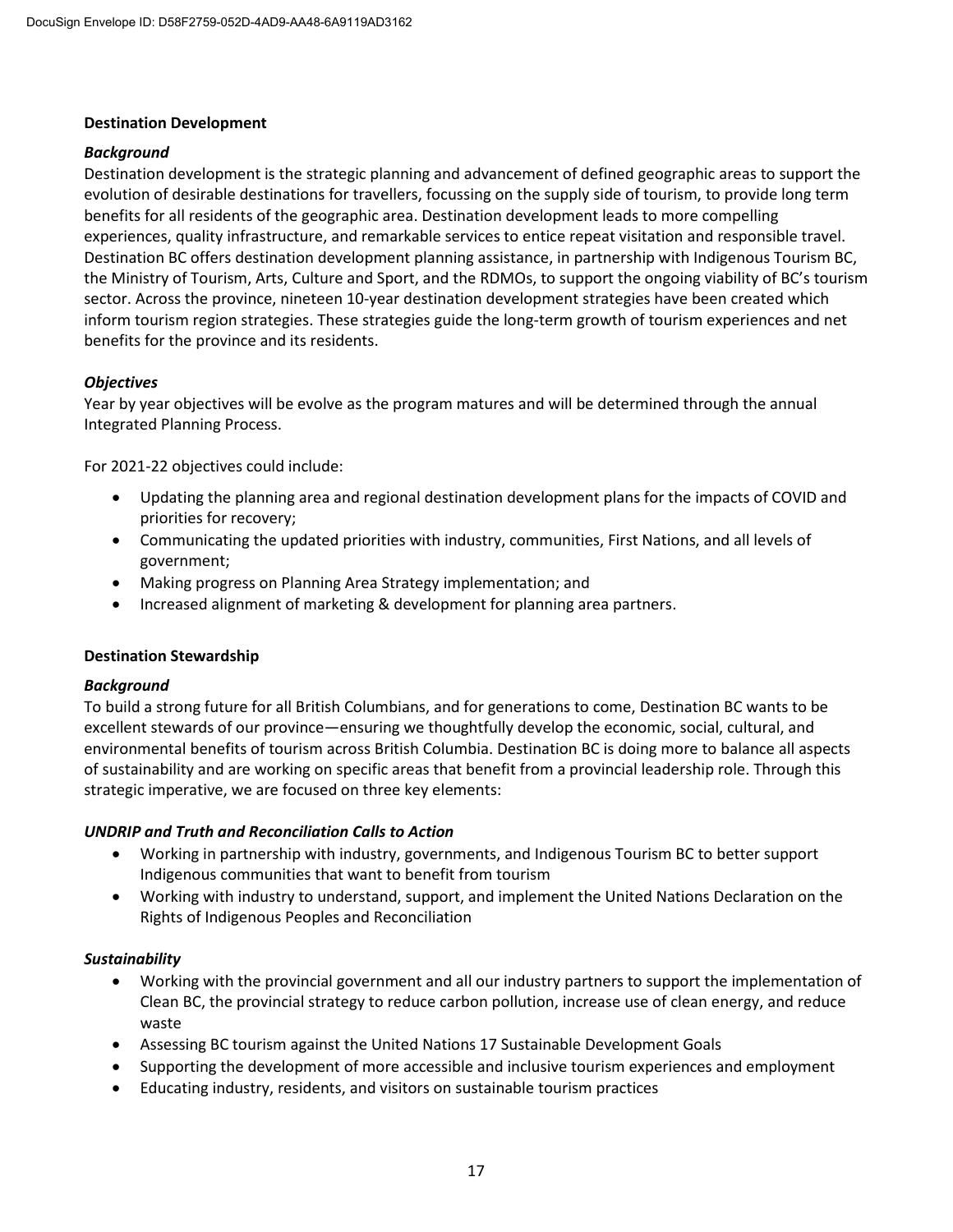### **Destination Development**

### *Background*

Destination development is the strategic planning and advancement of defined geographic areas to support the evolution of desirable destinations for travellers, focussing on the supply side of tourism, to provide long term benefits for all residents of the geographic area. Destination development leads to more compelling experiences, quality infrastructure, and remarkable services to entice repeat visitation and responsible travel. Destination BC offers destination development planning assistance, in partnership with Indigenous Tourism BC, the Ministry of Tourism, Arts, Culture and Sport, and the RDMOs, to support the ongoing viability of BC's tourism sector. Across the province, nineteen 10-year destination development strategies have been created which inform tourism region strategies. These strategies guide the long-term growth of tourism experiences and net benefits for the province and its residents.

## *Objectives*

Year by year objectives will be evolve as the program matures and will be determined through the annual Integrated Planning Process.

For 2021-22 objectives could include:

- Updating the planning area and regional destination development plans for the impacts of COVID and priorities for recovery;
- Communicating the updated priorities with industry, communities, First Nations, and all levels of government;
- Making progress on Planning Area Strategy implementation; and
- Increased alignment of marketing & development for planning area partners.

#### **Destination Stewardship**

#### *Background*

To build a strong future for all British Columbians, and for generations to come, Destination BC wants to be excellent stewards of our province—ensuring we thoughtfully develop the economic, social, cultural, and environmental benefits of tourism across British Columbia. Destination BC is doing more to balance all aspects of sustainability and are working on specific areas that benefit from a provincial leadership role. Through this strategic imperative, we are focused on three key elements:

#### *UNDRIP and Truth and Reconciliation Calls to Action*

- Working in partnership with industry, governments, and Indigenous Tourism BC to better support Indigenous communities that want to benefit from tourism
- Working with industry to understand, support, and implement the United Nations Declaration on the Rights of Indigenous Peoples and Reconciliation

#### *Sustainability*

- Working with the provincial government and all our industry partners to support the implementation of Clean BC, the provincial strategy to reduce carbon pollution, increase use of clean energy, and reduce waste
- Assessing BC tourism against the United Nations 17 Sustainable Development Goals
- Supporting the development of more accessible and inclusive tourism experiences and employment
- Educating industry, residents, and visitors on sustainable tourism practices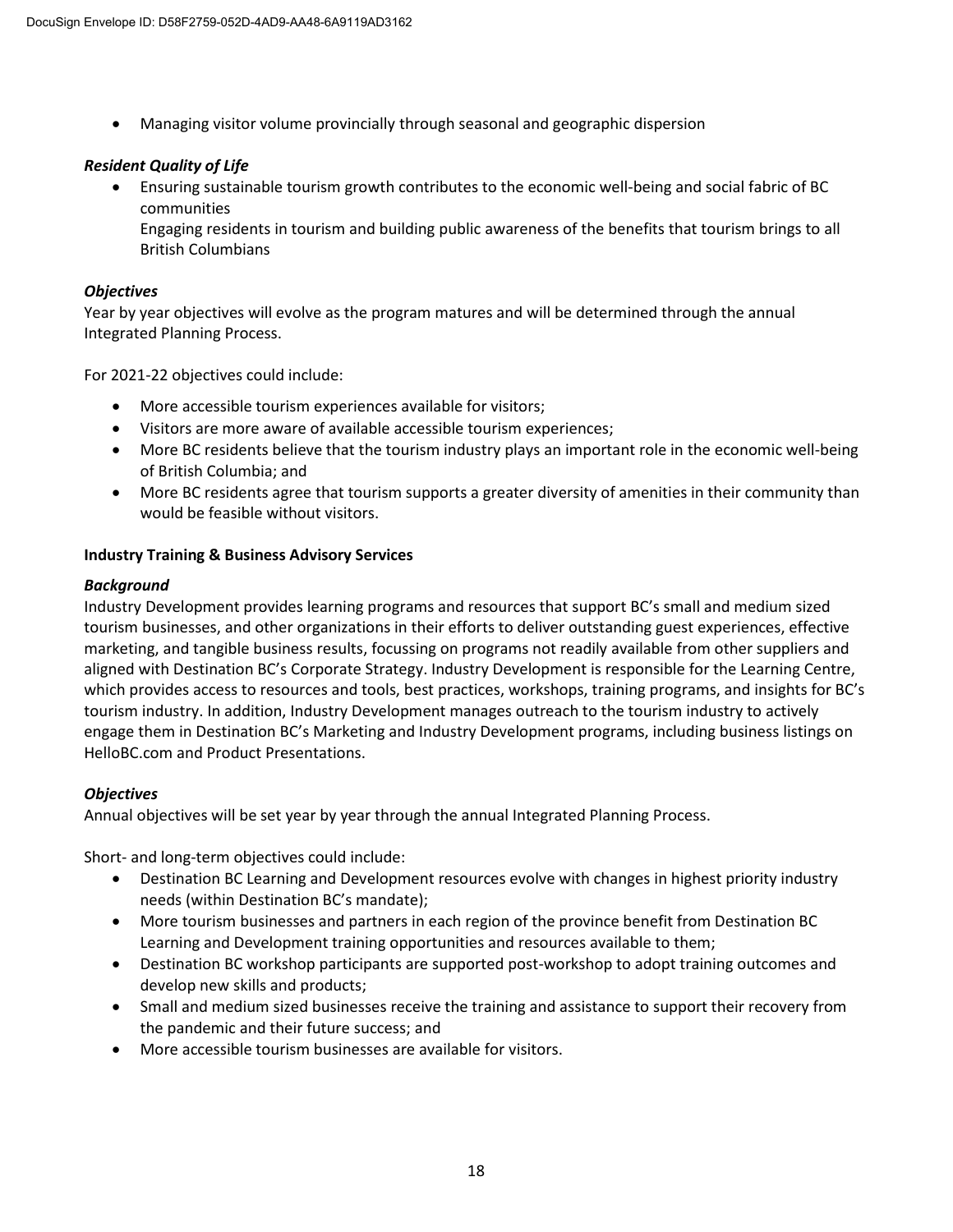• Managing visitor volume provincially through seasonal and geographic dispersion

# *Resident Quality of Life*

• Ensuring sustainable tourism growth contributes to the economic well-being and social fabric of BC communities

Engaging residents in tourism and building public awareness of the benefits that tourism brings to all British Columbians

## *Objectives*

Year by year objectives will evolve as the program matures and will be determined through the annual Integrated Planning Process.

For 2021-22 objectives could include:

- More accessible tourism experiences available for visitors;
- Visitors are more aware of available accessible tourism experiences;
- More BC residents believe that the tourism industry plays an important role in the economic well-being of British Columbia; and
- More BC residents agree that tourism supports a greater diversity of amenities in their community than would be feasible without visitors.

## **Industry Training & Business Advisory Services**

## *Background*

Industry Development provides learning programs and resources that support BC's small and medium sized tourism businesses, and other organizations in their efforts to deliver outstanding guest experiences, effective marketing, and tangible business results, focussing on programs not readily available from other suppliers and aligned with Destination BC's Corporate Strategy. Industry Development is responsible for the Learning Centre, which provides access to resources and tools, best practices, workshops, training programs, and insights for BC's tourism industry. In addition, Industry Development manages outreach to the tourism industry to actively engage them in Destination BC's Marketing and Industry Development programs, including business listings on HelloBC.com and Product Presentations.

## *Objectives*

Annual objectives will be set year by year through the annual Integrated Planning Process.

Short- and long-term objectives could include:

- Destination BC Learning and Development resources evolve with changes in highest priority industry needs (within Destination BC's mandate);
- More tourism businesses and partners in each region of the province benefit from Destination BC Learning and Development training opportunities and resources available to them;
- Destination BC workshop participants are supported post-workshop to adopt training outcomes and develop new skills and products;
- Small and medium sized businesses receive the training and assistance to support their recovery from the pandemic and their future success; and
- More accessible tourism businesses are available for visitors.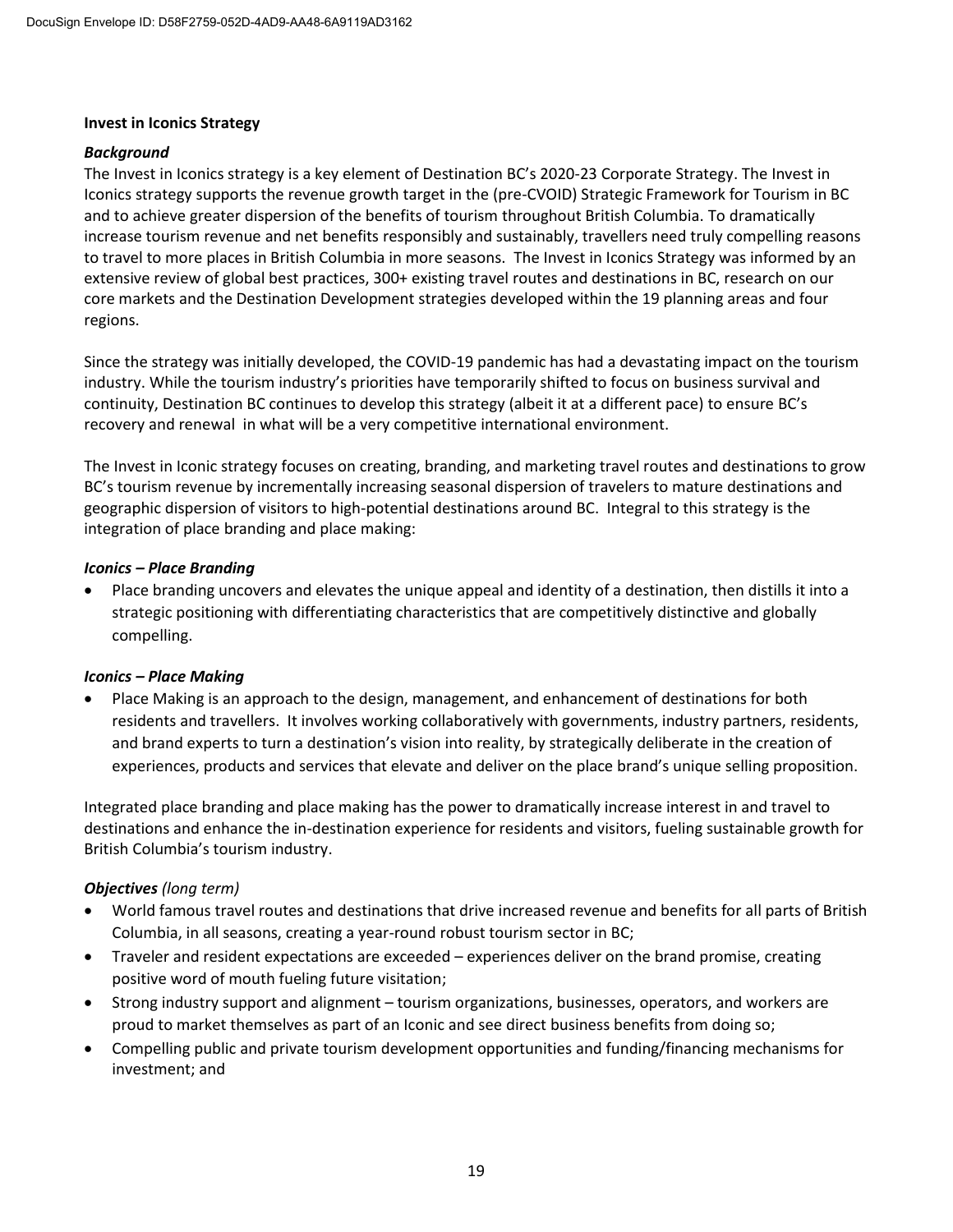### **Invest in Iconics Strategy**

### *Background*

The Invest in Iconics strategy is a key element of Destination BC's 2020-23 Corporate Strategy. The Invest in Iconics strategy supports the revenue growth target in the (pre-CVOID) Strategic Framework for Tourism in BC and to achieve greater dispersion of the benefits of tourism throughout British Columbia. To dramatically increase tourism revenue and net benefits responsibly and sustainably, travellers need truly compelling reasons to travel to more places in British Columbia in more seasons. The Invest in Iconics Strategy was informed by an extensive review of global best practices, 300+ existing travel routes and destinations in BC, research on our core markets and the Destination Development strategies developed within the 19 planning areas and four regions.

Since the strategy was initially developed, the COVID-19 pandemic has had a devastating impact on the tourism industry. While the tourism industry's priorities have temporarily shifted to focus on business survival and continuity, Destination BC continues to develop this strategy (albeit it at a different pace) to ensure BC's recovery and renewal in what will be a very competitive international environment.

The Invest in Iconic strategy focuses on creating, branding, and marketing travel routes and destinations to grow BC's tourism revenue by incrementally increasing seasonal dispersion of travelers to mature destinations and geographic dispersion of visitors to high-potential destinations around BC. Integral to this strategy is the integration of place branding and place making:

### *Iconics – Place Branding*

• Place branding uncovers and elevates the unique appeal and identity of a destination, then distills it into a strategic positioning with differentiating characteristics that are competitively distinctive and globally compelling.

## *Iconics – Place Making*

• Place Making is an approach to the design, management, and enhancement of destinations for both residents and travellers. It involves working collaboratively with governments, industry partners, residents, and brand experts to turn a destination's vision into reality, by strategically deliberate in the creation of experiences, products and services that elevate and deliver on the place brand's unique selling proposition.

Integrated place branding and place making has the power to dramatically increase interest in and travel to destinations and enhance the in-destination experience for residents and visitors, fueling sustainable growth for British Columbia's tourism industry.

## *Objectives (long term)*

- World famous travel routes and destinations that drive increased revenue and benefits for all parts of British Columbia, in all seasons, creating a year-round robust tourism sector in BC;
- Traveler and resident expectations are exceeded experiences deliver on the brand promise, creating positive word of mouth fueling future visitation;
- Strong industry support and alignment tourism organizations, businesses, operators, and workers are proud to market themselves as part of an Iconic and see direct business benefits from doing so;
- Compelling public and private tourism development opportunities and funding/financing mechanisms for investment; and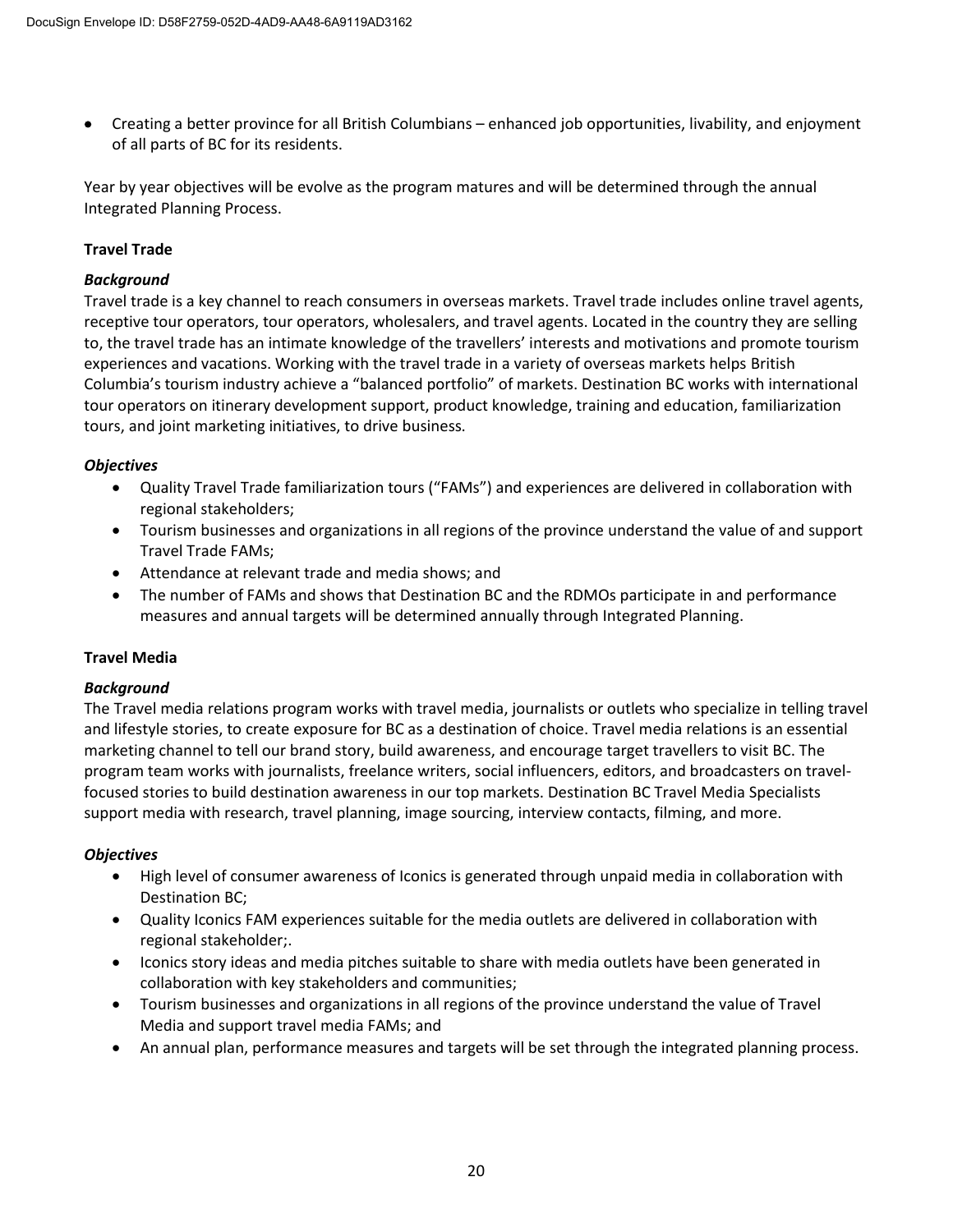• Creating a better province for all British Columbians – enhanced job opportunities, livability, and enjoyment of all parts of BC for its residents.

Year by year objectives will be evolve as the program matures and will be determined through the annual Integrated Planning Process.

# **Travel Trade**

## *Background*

Travel trade is a key channel to reach consumers in overseas markets. Travel trade includes online travel agents, receptive tour operators, tour operators, wholesalers, and travel agents. Located in the country they are selling to, the travel trade has an intimate knowledge of the travellers' interests and motivations and promote tourism experiences and vacations. Working with the travel trade in a variety of overseas markets helps British Columbia's tourism industry achieve a "balanced portfolio" of markets. Destination BC works with international tour operators on itinerary development support, product knowledge, training and education, familiarization tours, and joint marketing initiatives, to drive business.

## *Objectives*

- Quality Travel Trade familiarization tours ("FAMs") and experiences are delivered in collaboration with regional stakeholders;
- Tourism businesses and organizations in all regions of the province understand the value of and support Travel Trade FAMs;
- Attendance at relevant trade and media shows; and
- The number of FAMs and shows that Destination BC and the RDMOs participate in and performance measures and annual targets will be determined annually through Integrated Planning.

# **Travel Media**

## *Background*

The Travel media relations program works with travel media, journalists or outlets who specialize in telling travel and lifestyle stories, to create exposure for BC as a destination of choice. Travel media relations is an essential marketing channel to tell our brand story, build awareness, and encourage target travellers to visit BC. The program team works with journalists, freelance writers, social influencers, editors, and broadcasters on travelfocused stories to build destination awareness in our top markets. Destination BC Travel Media Specialists support media with research, travel planning, image sourcing, interview contacts, filming, and more.

## *Objectives*

- High level of consumer awareness of Iconics is generated through unpaid media in collaboration with Destination BC;
- Quality Iconics FAM experiences suitable for the media outlets are delivered in collaboration with regional stakeholder;.
- Iconics story ideas and media pitches suitable to share with media outlets have been generated in collaboration with key stakeholders and communities;
- Tourism businesses and organizations in all regions of the province understand the value of Travel Media and support travel media FAMs; and
- An annual plan, performance measures and targets will be set through the integrated planning process.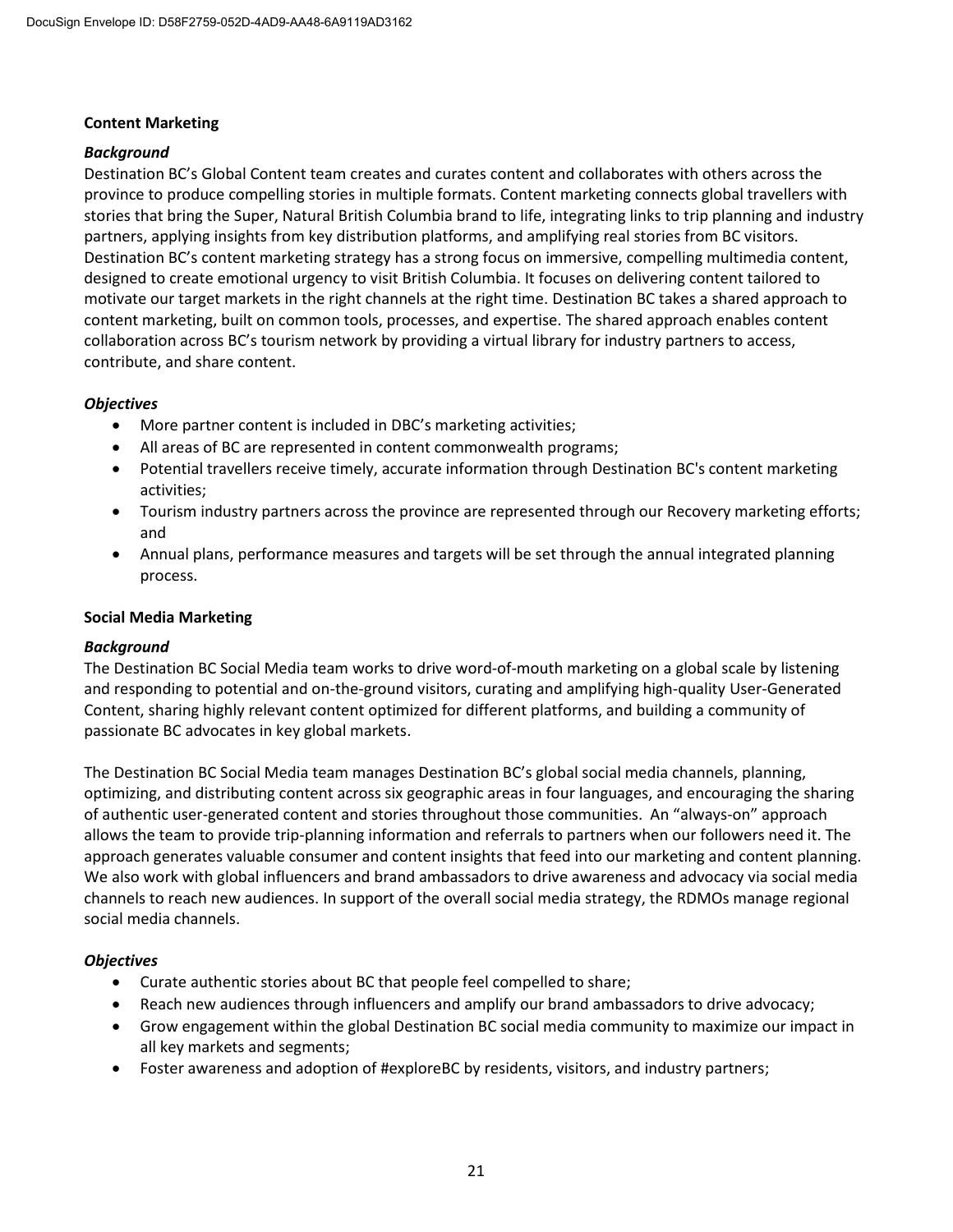## **Content Marketing**

## *Background*

Destination BC's Global Content team creates and curates content and collaborates with others across the province to produce compelling stories in multiple formats. Content marketing connects global travellers with stories that bring the Super, Natural British Columbia brand to life, integrating links to trip planning and industry partners, applying insights from key distribution platforms, and amplifying real stories from BC visitors. Destination BC's content marketing strategy has a strong focus on immersive, compelling multimedia content, designed to create emotional urgency to visit British Columbia. It focuses on delivering content tailored to motivate our target markets in the right channels at the right time. Destination BC takes a shared approach to content marketing, built on common tools, processes, and expertise. The shared approach enables content collaboration across BC's tourism network by providing a virtual library for industry partners to access, contribute, and share content.

## *Objectives*

- More partner content is included in DBC's marketing activities;
- All areas of BC are represented in content commonwealth programs;
- Potential travellers receive timely, accurate information through Destination BC's content marketing activities;
- Tourism industry partners across the province are represented through our Recovery marketing efforts; and
- Annual plans, performance measures and targets will be set through the annual integrated planning process.

## **Social Media Marketing**

## *Background*

The Destination BC Social Media team works to drive word-of-mouth marketing on a global scale by listening and responding to potential and on-the-ground visitors, curating and amplifying high-quality User-Generated Content, sharing highly relevant content optimized for different platforms, and building a community of passionate BC advocates in key global markets.

The Destination BC Social Media team manages Destination BC's global social media channels, planning, optimizing, and distributing content across six geographic areas in four languages, and encouraging the sharing of authentic user-generated content and stories throughout those communities. An "always-on" approach allows the team to provide trip-planning information and referrals to partners when our followers need it. The approach generates valuable consumer and content insights that feed into our marketing and content planning. We also work with global influencers and brand ambassadors to drive awareness and advocacy via social media channels to reach new audiences. In support of the overall social media strategy, the RDMOs manage regional social media channels.

## *Objectives*

- Curate authentic stories about BC that people feel compelled to share;
- Reach new audiences through influencers and amplify our brand ambassadors to drive advocacy;
- Grow engagement within the global Destination BC social media community to maximize our impact in all key markets and segments;
- Foster awareness and adoption of #exploreBC by residents, visitors, and industry partners;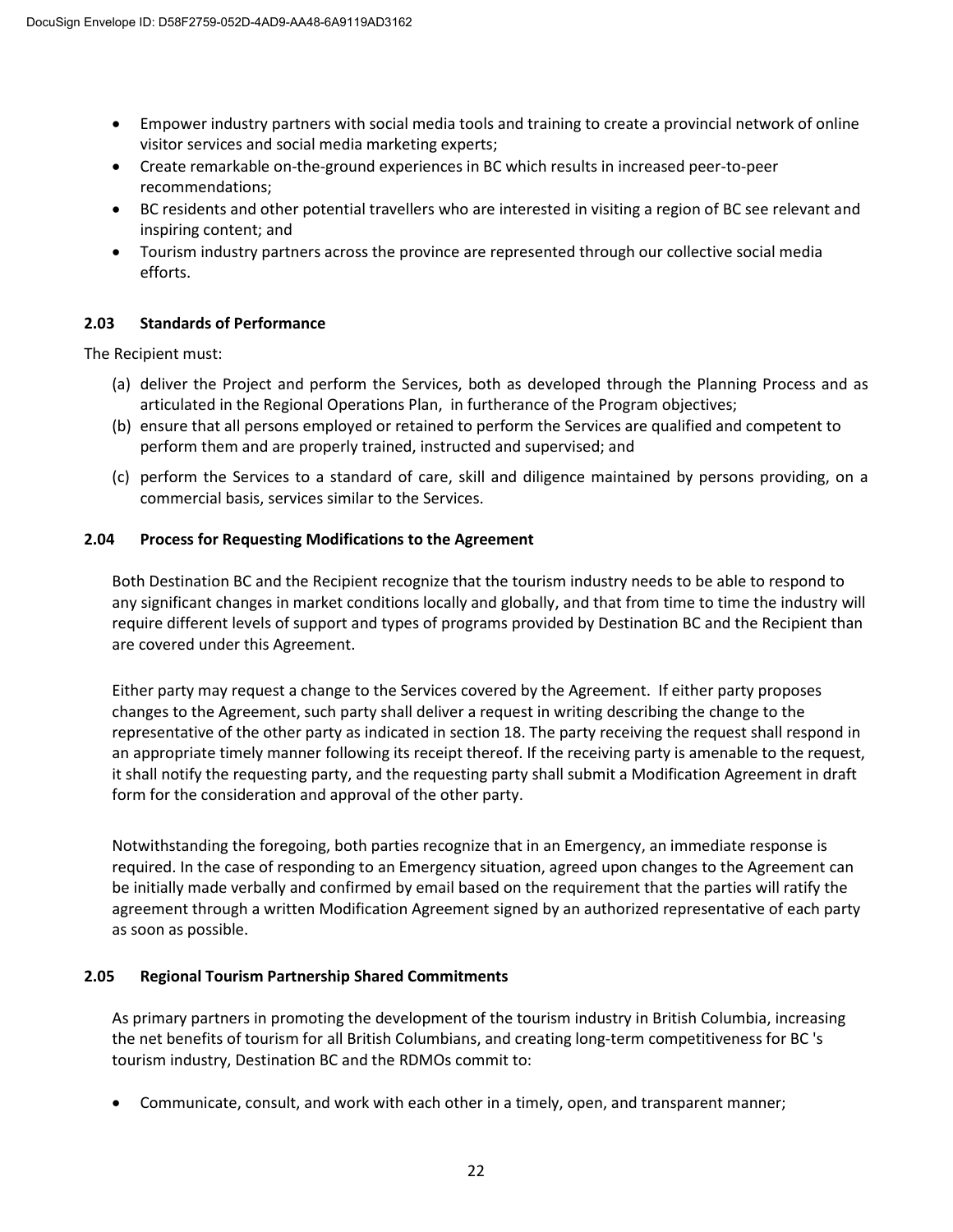- Empower industry partners with social media tools and training to create a provincial network of online visitor services and social media marketing experts;
- Create remarkable on-the-ground experiences in BC which results in increased peer-to-peer recommendations;
- BC residents and other potential travellers who are interested in visiting a region of BC see relevant and inspiring content; and
- Tourism industry partners across the province are represented through our collective social media efforts.

## **2.03 Standards of Performance**

The Recipient must:

- (a) deliver the Project and perform the Services, both as developed through the Planning Process and as articulated in the Regional Operations Plan, in furtherance of the Program objectives;
- (b) ensure that all persons employed or retained to perform the Services are qualified and competent to perform them and are properly trained, instructed and supervised; and
- (c) perform the Services to a standard of care, skill and diligence maintained by persons providing, on a commercial basis, services similar to the Services.

## **2.04 Process for Requesting Modifications to the Agreement**

Both Destination BC and the Recipient recognize that the tourism industry needs to be able to respond to any significant changes in market conditions locally and globally, and that from time to time the industry will require different levels of support and types of programs provided by Destination BC and the Recipient than are covered under this Agreement.

Either party may request a change to the Services covered by the Agreement. If either party proposes changes to the Agreement, such party shall deliver a request in writing describing the change to the representative of the other party as indicated in section 18. The party receiving the request shall respond in an appropriate timely manner following its receipt thereof. If the receiving party is amenable to the request, it shall notify the requesting party, and the requesting party shall submit a Modification Agreement in draft form for the consideration and approval of the other party.

Notwithstanding the foregoing, both parties recognize that in an Emergency, an immediate response is required. In the case of responding to an Emergency situation, agreed upon changes to the Agreement can be initially made verbally and confirmed by email based on the requirement that the parties will ratify the agreement through a written Modification Agreement signed by an authorized representative of each party as soon as possible.

## **2.05 Regional Tourism Partnership Shared Commitments**

As primary partners in promoting the development of the tourism industry in British Columbia, increasing the net benefits of tourism for all British Columbians, and creating long-term competitiveness for BC 's tourism industry, Destination BC and the RDMOs commit to:

• Communicate, consult, and work with each other in a timely, open, and transparent manner;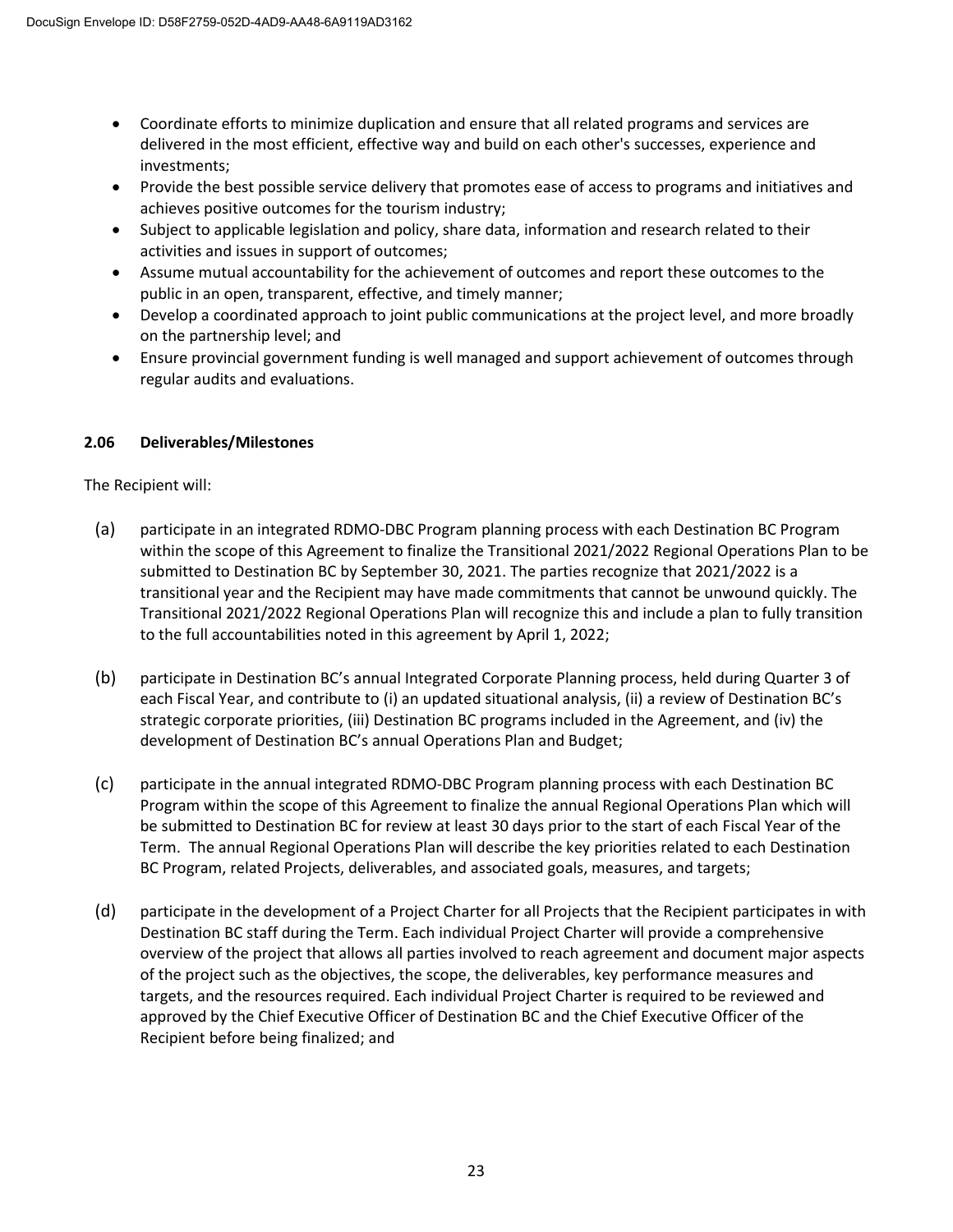- Coordinate efforts to minimize duplication and ensure that all related programs and services are delivered in the most efficient, effective way and build on each other's successes, experience and investments;
- Provide the best possible service delivery that promotes ease of access to programs and initiatives and achieves positive outcomes for the tourism industry;
- Subject to applicable legislation and policy, share data, information and research related to their activities and issues in support of outcomes;
- Assume mutual accountability for the achievement of outcomes and report these outcomes to the public in an open, transparent, effective, and timely manner;
- Develop a coordinated approach to joint public communications at the project level, and more broadly on the partnership level; and
- Ensure provincial government funding is well managed and support achievement of outcomes through regular audits and evaluations.

# **2.06 Deliverables/Milestones**

The Recipient will:

- (a) participate in an integrated RDMO-DBC Program planning process with each Destination BC Program within the scope of this Agreement to finalize the Transitional 2021/2022 Regional Operations Plan to be submitted to Destination BC by September 30, 2021. The parties recognize that 2021/2022 is a transitional year and the Recipient may have made commitments that cannot be unwound quickly. The Transitional 2021/2022 Regional Operations Plan will recognize this and include a plan to fully transition to the full accountabilities noted in this agreement by April 1, 2022;
- (b) participate in Destination BC's annual Integrated Corporate Planning process, held during Quarter 3 of each Fiscal Year, and contribute to (i) an updated situational analysis, (ii) a review of Destination BC's strategic corporate priorities, (iii) Destination BC programs included in the Agreement, and (iv) the development of Destination BC's annual Operations Plan and Budget;
- (c) participate in the annual integrated RDMO-DBC Program planning process with each Destination BC Program within the scope of this Agreement to finalize the annual Regional Operations Plan which will be submitted to Destination BC for review at least 30 days prior to the start of each Fiscal Year of the Term. The annual Regional Operations Plan will describe the key priorities related to each Destination BC Program, related Projects, deliverables, and associated goals, measures, and targets;
- (d) participate in the development of a Project Charter for all Projects that the Recipient participates in with Destination BC staff during the Term. Each individual Project Charter will provide a comprehensive overview of the project that allows all parties involved to reach agreement and document major aspects of the project such as the objectives, the scope, the deliverables, key performance measures and targets, and the resources required. Each individual Project Charter is required to be reviewed and approved by the Chief Executive Officer of Destination BC and the Chief Executive Officer of the Recipient before being finalized; and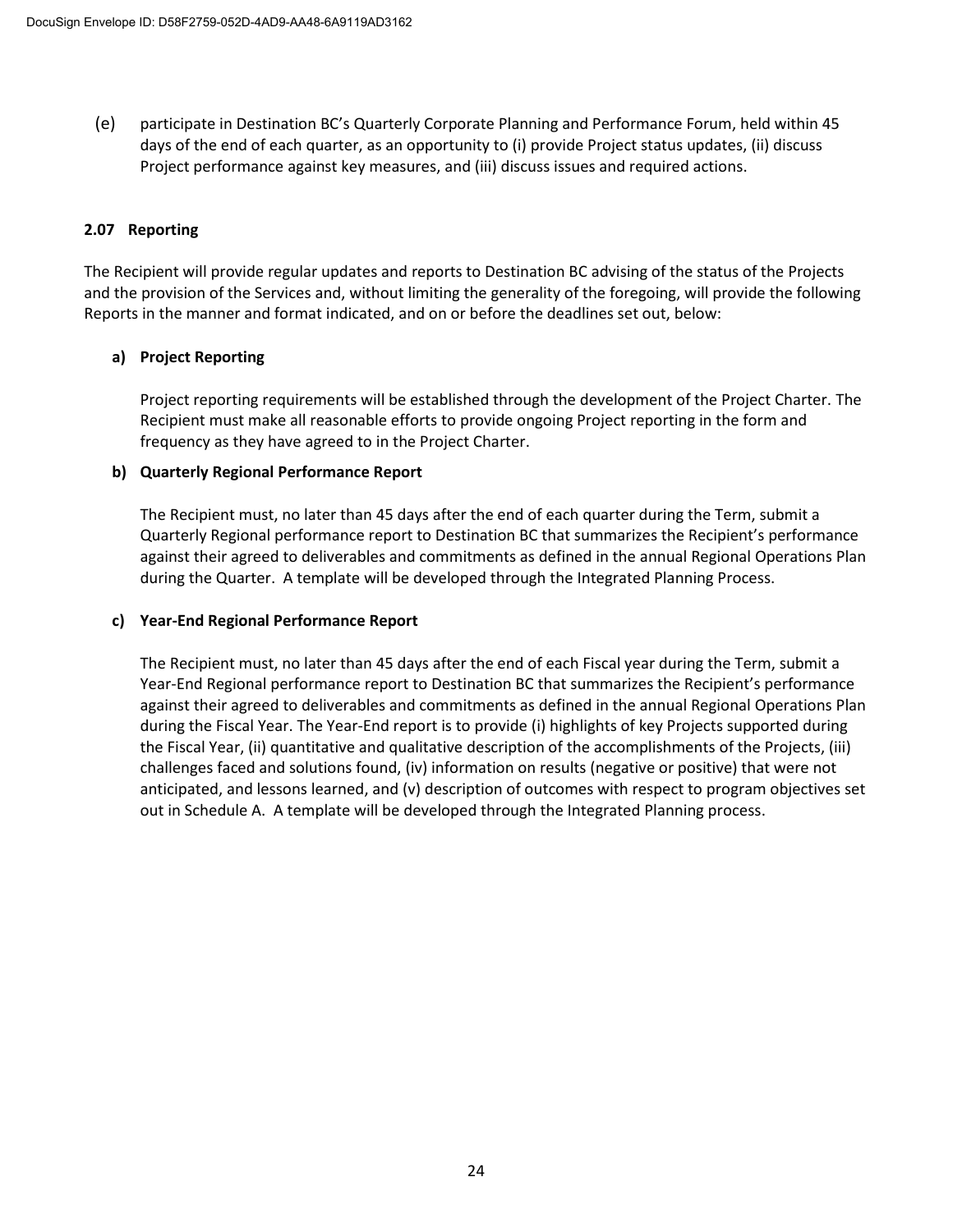(e) participate in Destination BC's Quarterly Corporate Planning and Performance Forum, held within 45 days of the end of each quarter, as an opportunity to (i) provide Project status updates, (ii) discuss Project performance against key measures, and (iii) discuss issues and required actions.

## **2.07 Reporting**

The Recipient will provide regular updates and reports to Destination BC advising of the status of the Projects and the provision of the Services and, without limiting the generality of the foregoing, will provide the following Reports in the manner and format indicated, and on or before the deadlines set out, below:

# **a) Project Reporting**

Project reporting requirements will be established through the development of the Project Charter. The Recipient must make all reasonable efforts to provide ongoing Project reporting in the form and frequency as they have agreed to in the Project Charter.

## **b) Quarterly Regional Performance Report**

The Recipient must, no later than 45 days after the end of each quarter during the Term, submit a Quarterly Regional performance report to Destination BC that summarizes the Recipient's performance against their agreed to deliverables and commitments as defined in the annual Regional Operations Plan during the Quarter. A template will be developed through the Integrated Planning Process.

## **c) Year-End Regional Performance Report**

The Recipient must, no later than 45 days after the end of each Fiscal year during the Term, submit a Year-End Regional performance report to Destination BC that summarizes the Recipient's performance against their agreed to deliverables and commitments as defined in the annual Regional Operations Plan during the Fiscal Year. The Year-End report is to provide (i) highlights of key Projects supported during the Fiscal Year, (ii) quantitative and qualitative description of the accomplishments of the Projects, (iii) challenges faced and solutions found, (iv) information on results (negative or positive) that were not anticipated, and lessons learned, and (v) description of outcomes with respect to program objectives set out in Schedule A. A template will be developed through the Integrated Planning process.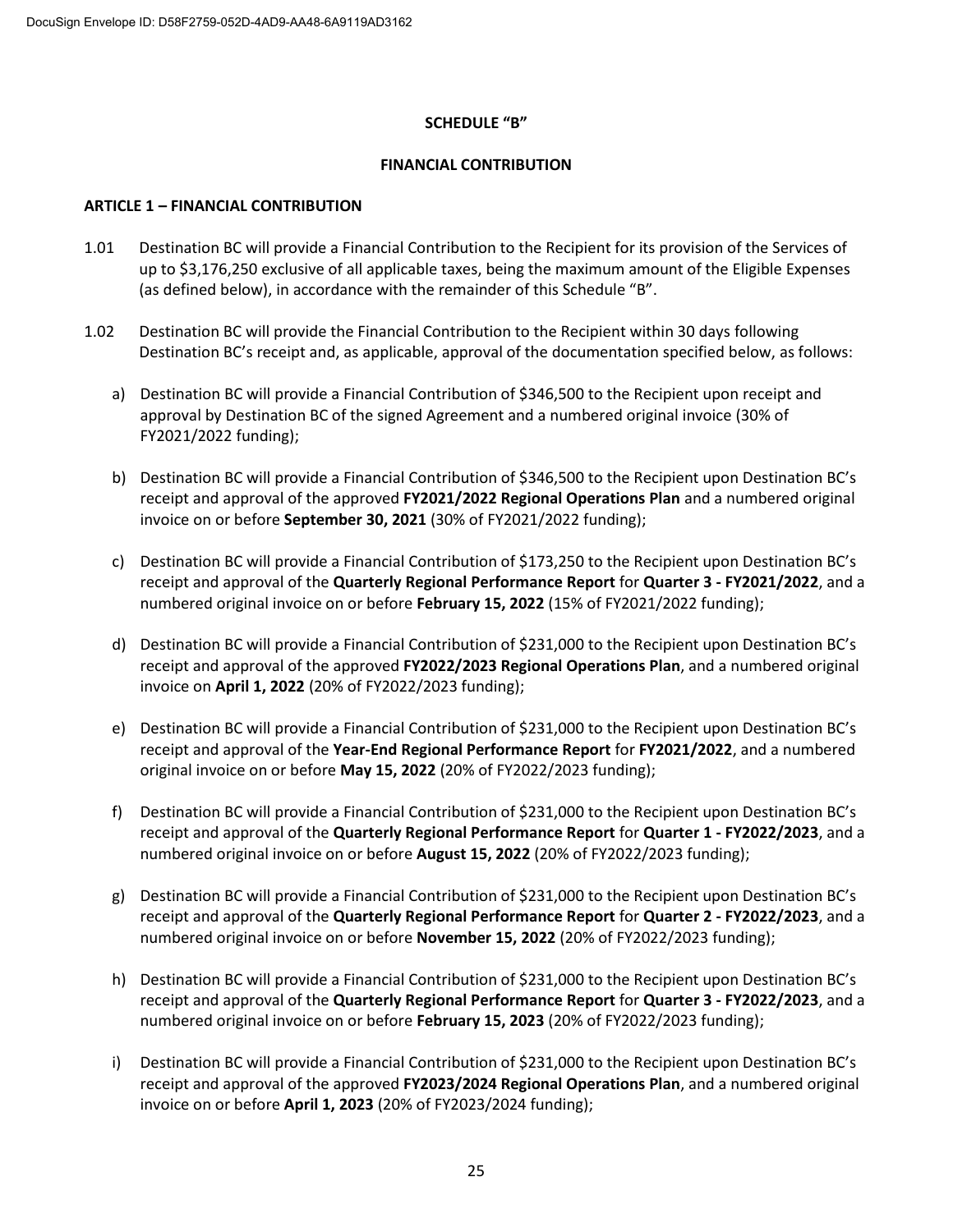### **SCHEDULE "B"**

### **FINANCIAL CONTRIBUTION**

### **ARTICLE 1 – FINANCIAL CONTRIBUTION**

- 1.01 Destination BC will provide a Financial Contribution to the Recipient for its provision of the Services of up to \$3,176,250 exclusive of all applicable taxes, being the maximum amount of the Eligible Expenses (as defined below), in accordance with the remainder of this Schedule "B".
- 1.02 Destination BC will provide the Financial Contribution to the Recipient within 30 days following Destination BC's receipt and, as applicable, approval of the documentation specified below, as follows:
	- a) Destination BC will provide a Financial Contribution of \$346,500 to the Recipient upon receipt and approval by Destination BC of the signed Agreement and a numbered original invoice (30% of FY2021/2022 funding);
	- b) Destination BC will provide a Financial Contribution of \$346,500 to the Recipient upon Destination BC's receipt and approval of the approved **FY2021/2022 Regional Operations Plan** and a numbered original invoice on or before **September 30, 2021** (30% of FY2021/2022 funding);
	- c) Destination BC will provide a Financial Contribution of \$173,250 to the Recipient upon Destination BC's receipt and approval of the **Quarterly Regional Performance Report** for **Quarter 3 - FY2021/2022**, and a numbered original invoice on or before **February 15, 2022** (15% of FY2021/2022 funding);
	- d) Destination BC will provide a Financial Contribution of \$231,000 to the Recipient upon Destination BC's receipt and approval of the approved **FY2022/2023 Regional Operations Plan**, and a numbered original invoice on **April 1, 2022** (20% of FY2022/2023 funding);
	- e) Destination BC will provide a Financial Contribution of \$231,000 to the Recipient upon Destination BC's receipt and approval of the **Year-End Regional Performance Report** for **FY2021/2022**, and a numbered original invoice on or before **May 15, 2022** (20% of FY2022/2023 funding);
	- f) Destination BC will provide a Financial Contribution of \$231,000 to the Recipient upon Destination BC's receipt and approval of the **Quarterly Regional Performance Report** for **Quarter 1 - FY2022/2023**, and a numbered original invoice on or before **August 15, 2022** (20% of FY2022/2023 funding);
	- g) Destination BC will provide a Financial Contribution of \$231,000 to the Recipient upon Destination BC's receipt and approval of the **Quarterly Regional Performance Report** for **Quarter 2 - FY2022/2023**, and a numbered original invoice on or before **November 15, 2022** (20% of FY2022/2023 funding);
	- h) Destination BC will provide a Financial Contribution of \$231,000 to the Recipient upon Destination BC's receipt and approval of the **Quarterly Regional Performance Report** for **Quarter 3 - FY2022/2023**, and a numbered original invoice on or before **February 15, 2023** (20% of FY2022/2023 funding);
	- i) Destination BC will provide a Financial Contribution of \$231,000 to the Recipient upon Destination BC's receipt and approval of the approved **FY2023/2024 Regional Operations Plan**, and a numbered original invoice on or before **April 1, 2023** (20% of FY2023/2024 funding);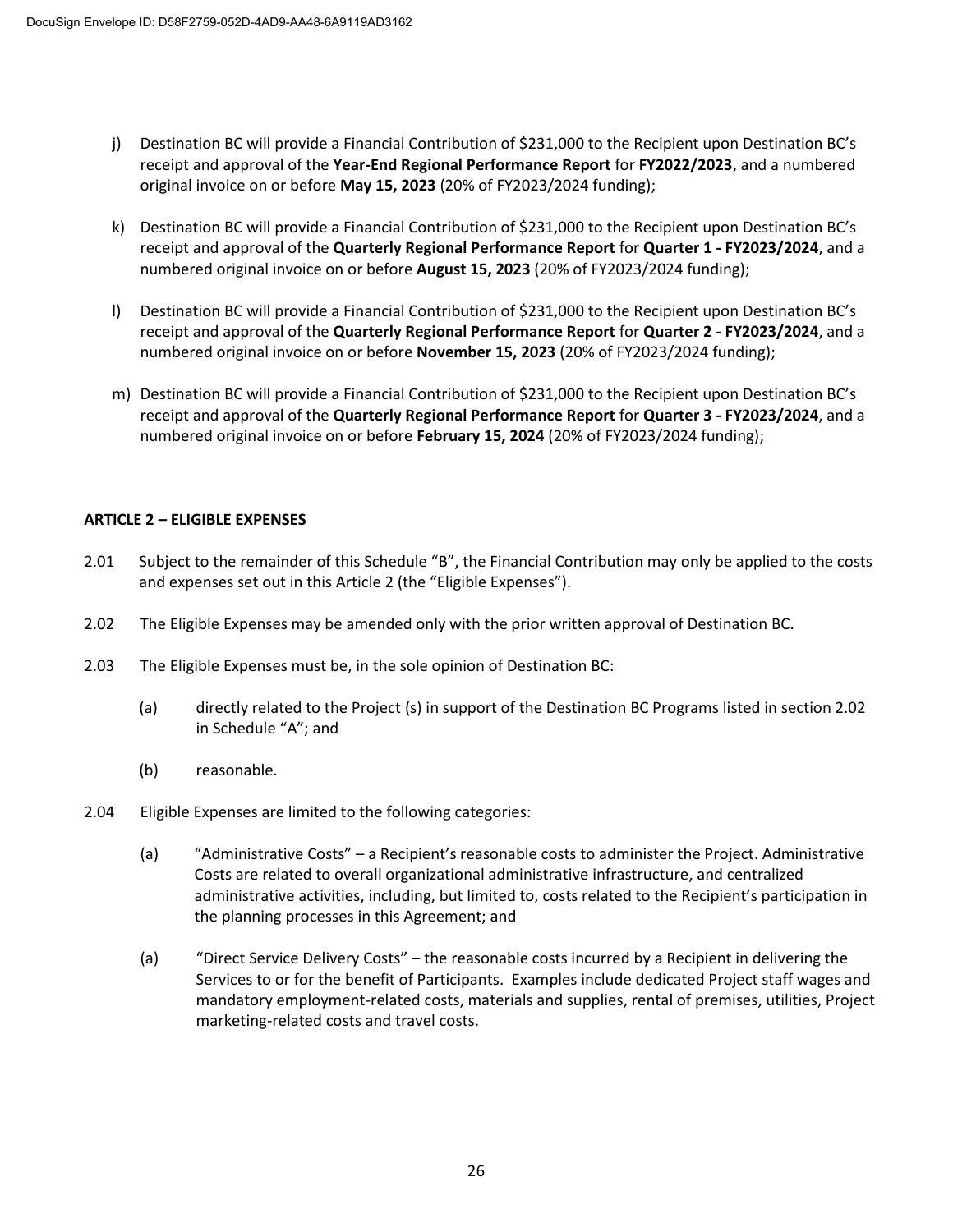- j) Destination BC will provide a Financial Contribution of \$231,000 to the Recipient upon Destination BC's receipt and approval of the **Year-End Regional Performance Report** for **FY2022/2023**, and a numbered original invoice on or before **May 15, 2023** (20% of FY2023/2024 funding);
- k) Destination BC will provide a Financial Contribution of \$231,000 to the Recipient upon Destination BC's receipt and approval of the **Quarterly Regional Performance Report** for **Quarter 1 - FY2023/2024**, and a numbered original invoice on or before **August 15, 2023** (20% of FY2023/2024 funding);
- l) Destination BC will provide a Financial Contribution of \$231,000 to the Recipient upon Destination BC's receipt and approval of the **Quarterly Regional Performance Report** for **Quarter 2 - FY2023/2024**, and a numbered original invoice on or before **November 15, 2023** (20% of FY2023/2024 funding);
- m) Destination BC will provide a Financial Contribution of \$231,000 to the Recipient upon Destination BC's receipt and approval of the **Quarterly Regional Performance Report** for **Quarter 3 - FY2023/2024**, and a numbered original invoice on or before **February 15, 2024** (20% of FY2023/2024 funding);

## **ARTICLE 2 – ELIGIBLE EXPENSES**

- 2.01 Subject to the remainder of this Schedule "B", the Financial Contribution may only be applied to the costs and expenses set out in this Article 2 (the "Eligible Expenses").
- 2.02 The Eligible Expenses may be amended only with the prior written approval of Destination BC.
- 2.03 The Eligible Expenses must be, in the sole opinion of Destination BC:
	- (a) directly related to the Project (s) in support of the Destination BC Programs listed in section 2.02 in Schedule "A"; and
	- (b) reasonable.
- 2.04 Eligible Expenses are limited to the following categories:
	- (a) "Administrative Costs" a Recipient's reasonable costs to administer the Project. Administrative Costs are related to overall organizational administrative infrastructure, and centralized administrative activities, including, but limited to, costs related to the Recipient's participation in the planning processes in this Agreement; and
	- (a) "Direct Service Delivery Costs" the reasonable costs incurred by a Recipient in delivering the Services to or for the benefit of Participants. Examples include dedicated Project staff wages and mandatory employment-related costs, materials and supplies, rental of premises, utilities, Project marketing-related costs and travel costs.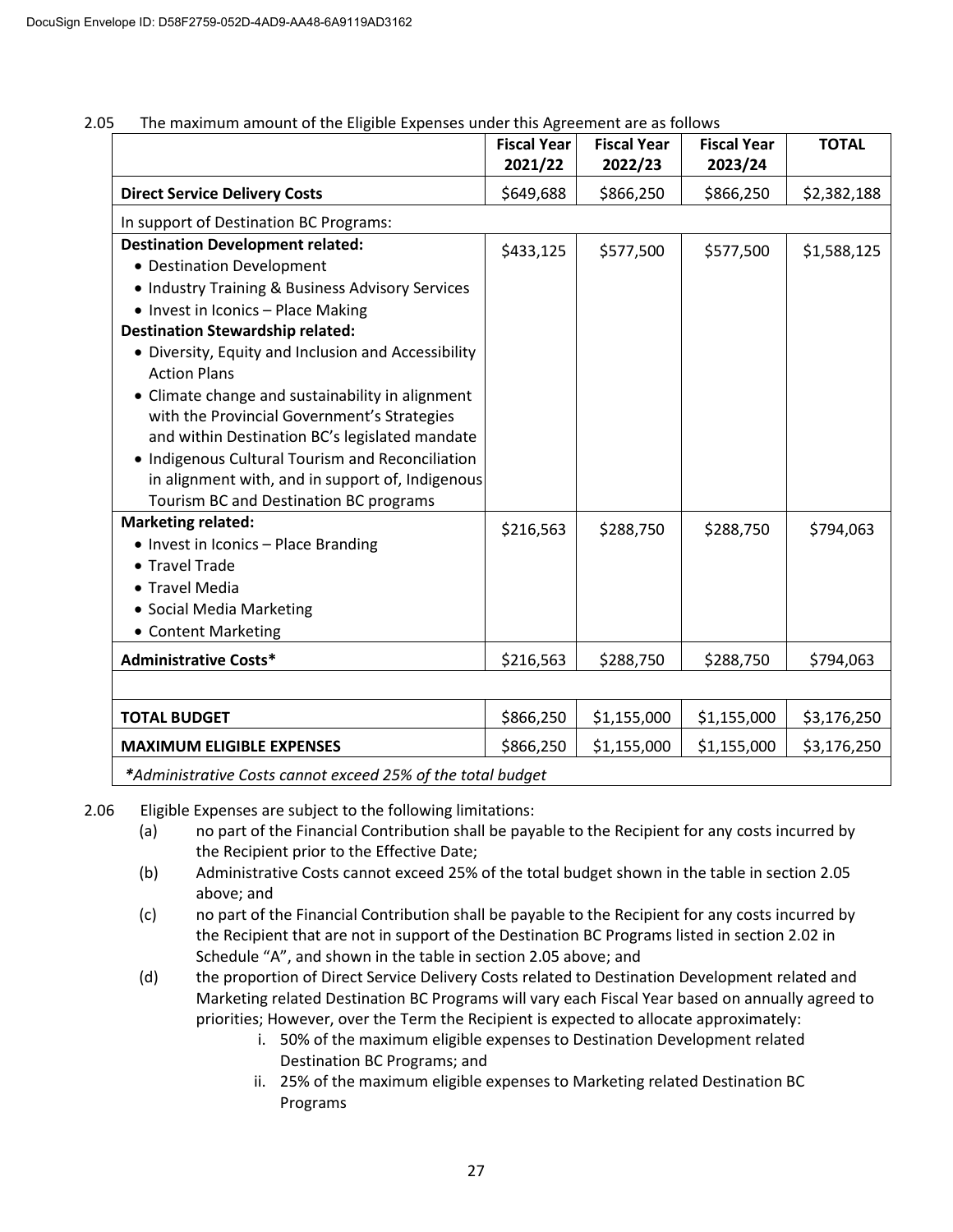|                                                                                                                                                                                                                                                                                                                                                                                   | <b>Fiscal Year</b><br>2021/22 | <b>Fiscal Year</b><br>2022/23 | <b>Fiscal Year</b><br>2023/24 | <b>TOTAL</b> |
|-----------------------------------------------------------------------------------------------------------------------------------------------------------------------------------------------------------------------------------------------------------------------------------------------------------------------------------------------------------------------------------|-------------------------------|-------------------------------|-------------------------------|--------------|
| <b>Direct Service Delivery Costs</b>                                                                                                                                                                                                                                                                                                                                              | \$649,688                     | \$866,250                     | \$866,250                     | \$2,382,188  |
| In support of Destination BC Programs:                                                                                                                                                                                                                                                                                                                                            |                               |                               |                               |              |
| <b>Destination Development related:</b><br>• Destination Development<br>• Industry Training & Business Advisory Services<br>• Invest in Iconics - Place Making<br><b>Destination Stewardship related:</b>                                                                                                                                                                         | \$433,125                     | \$577,500                     | \$577,500                     | \$1,588,125  |
| • Diversity, Equity and Inclusion and Accessibility<br><b>Action Plans</b><br>• Climate change and sustainability in alignment<br>with the Provincial Government's Strategies<br>and within Destination BC's legislated mandate<br>• Indigenous Cultural Tourism and Reconciliation<br>in alignment with, and in support of, Indigenous<br>Tourism BC and Destination BC programs |                               |                               |                               |              |
| <b>Marketing related:</b><br>• Invest in Iconics - Place Branding<br>• Travel Trade<br>• Travel Media<br>• Social Media Marketing<br>• Content Marketing                                                                                                                                                                                                                          | \$216,563                     | \$288,750                     | \$288,750                     | \$794,063    |
| <b>Administrative Costs*</b>                                                                                                                                                                                                                                                                                                                                                      | \$216,563                     | \$288,750                     | \$288,750                     | \$794,063    |
|                                                                                                                                                                                                                                                                                                                                                                                   |                               |                               |                               |              |
| <b>TOTAL BUDGET</b>                                                                                                                                                                                                                                                                                                                                                               | \$866,250                     | \$1,155,000                   | \$1,155,000                   | \$3,176,250  |
| <b>MAXIMUM ELIGIBLE EXPENSES</b>                                                                                                                                                                                                                                                                                                                                                  | \$866,250                     | \$1,155,000                   | \$1,155,000                   | \$3,176,250  |
| *Administrative Costs cannot exceed 25% of the total budget                                                                                                                                                                                                                                                                                                                       |                               |                               |                               |              |

## 2.05 The maximum amount of the Eligible Expenses under this Agreement are as follows

2.06 Eligible Expenses are subject to the following limitations:

- (a) no part of the Financial Contribution shall be payable to the Recipient for any costs incurred by the Recipient prior to the Effective Date;
- (b) Administrative Costs cannot exceed 25% of the total budget shown in the table in section 2.05 above; and
- (c) no part of the Financial Contribution shall be payable to the Recipient for any costs incurred by the Recipient that are not in support of the Destination BC Programs listed in section 2.02 in Schedule "A", and shown in the table in section 2.05 above; and
- (d) the proportion of Direct Service Delivery Costs related to Destination Development related and Marketing related Destination BC Programs will vary each Fiscal Year based on annually agreed to priorities; However, over the Term the Recipient is expected to allocate approximately:
	- i. 50% of the maximum eligible expenses to Destination Development related Destination BC Programs; and
	- ii. 25% of the maximum eligible expenses to Marketing related Destination BC Programs